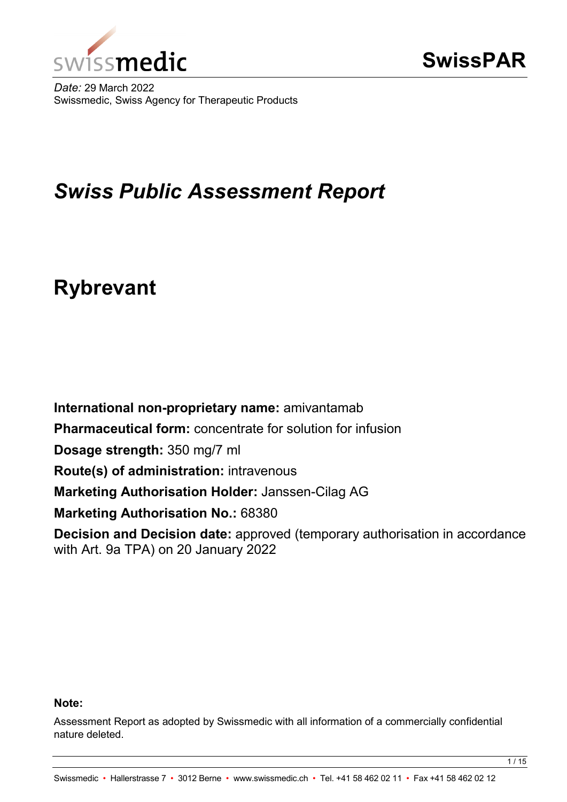

*Date:* 29 March 2022 Swissmedic, Swiss Agency for Therapeutic Products

# *Swiss Public Assessment Report*

# **Rybrevant**

**International non-proprietary name:** amivantamab **Pharmaceutical form:** concentrate for solution for infusion **Dosage strength:** 350 mg/7 ml **Route(s) of administration:** intravenous **Marketing Authorisation Holder:** Janssen-Cilag AG **Marketing Authorisation No.: 68380 Decision and Decision date:** approved (temporary authorisation in accordance with Art. 9a TPA) on 20 January 2022

#### **Note:**

Assessment Report as adopted by Swissmedic with all information of a commercially confidential nature deleted.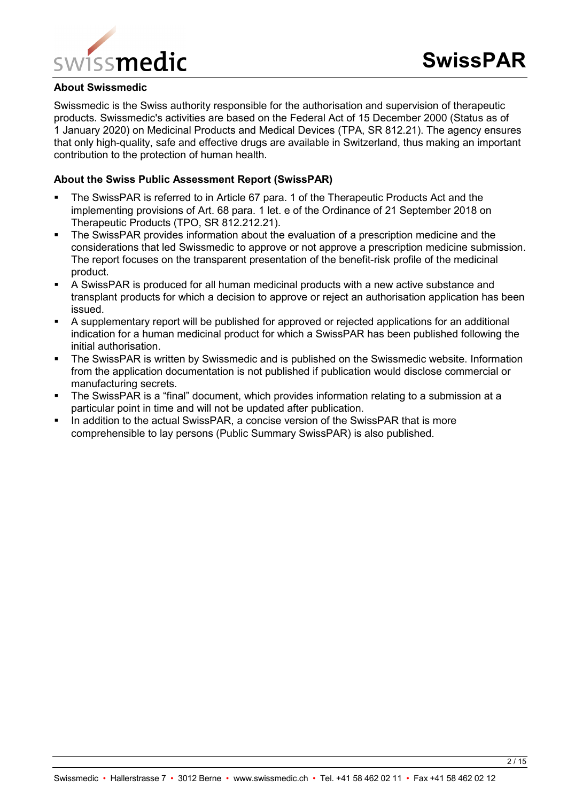

#### **About Swissmedic**

Swissmedic is the Swiss authority responsible for the authorisation and supervision of therapeutic products. Swissmedic's activities are based on the Federal Act of 15 December 2000 (Status as of 1 January 2020) on Medicinal Products and Medical Devices (TPA, SR 812.21). The agency ensures that only high-quality, safe and effective drugs are available in Switzerland, thus making an important contribution to the protection of human health.

#### **About the Swiss Public Assessment Report (SwissPAR)**

- The SwissPAR is referred to in Article 67 para. 1 of the Therapeutic Products Act and the implementing provisions of Art. 68 para. 1 let. e of the Ordinance of 21 September 2018 on Therapeutic Products (TPO, SR 812.212.21).
- The SwissPAR provides information about the evaluation of a prescription medicine and the considerations that led Swissmedic to approve or not approve a prescription medicine submission. The report focuses on the transparent presentation of the benefit-risk profile of the medicinal product.
- A SwissPAR is produced for all human medicinal products with a new active substance and transplant products for which a decision to approve or reject an authorisation application has been issued.
- A supplementary report will be published for approved or rejected applications for an additional indication for a human medicinal product for which a SwissPAR has been published following the initial authorisation.
- **The SwissPAR is written by Swissmedic and is published on the Swissmedic website. Information** from the application documentation is not published if publication would disclose commercial or manufacturing secrets.
- The SwissPAR is a "final" document, which provides information relating to a submission at a particular point in time and will not be updated after publication.
- In addition to the actual SwissPAR, a concise version of the SwissPAR that is more comprehensible to lay persons (Public Summary SwissPAR) is also published.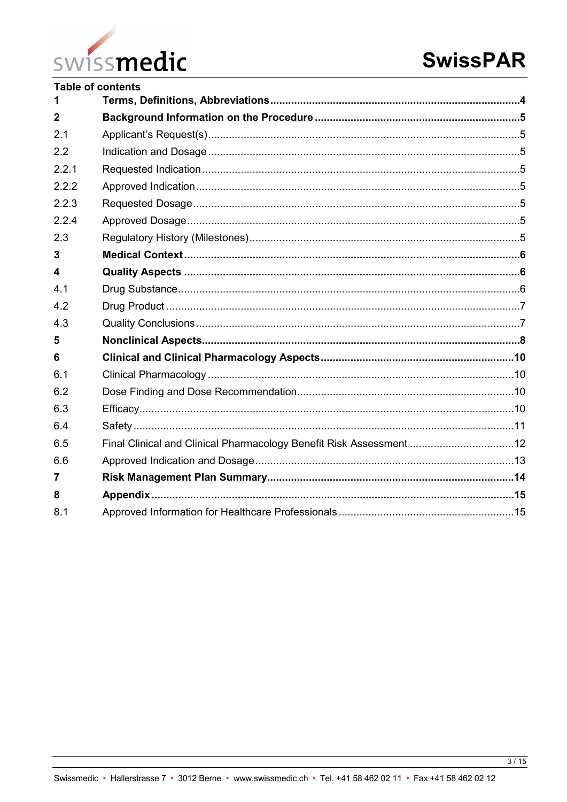

| <b>Table of contents</b>                                            |  |
|---------------------------------------------------------------------|--|
|                                                                     |  |
|                                                                     |  |
|                                                                     |  |
|                                                                     |  |
|                                                                     |  |
|                                                                     |  |
|                                                                     |  |
|                                                                     |  |
|                                                                     |  |
|                                                                     |  |
|                                                                     |  |
|                                                                     |  |
|                                                                     |  |
|                                                                     |  |
|                                                                     |  |
|                                                                     |  |
|                                                                     |  |
|                                                                     |  |
|                                                                     |  |
|                                                                     |  |
| Final Clinical and Clinical Pharmacology Benefit Risk Assessment 12 |  |
|                                                                     |  |
|                                                                     |  |
|                                                                     |  |
|                                                                     |  |
|                                                                     |  |

 $3/15$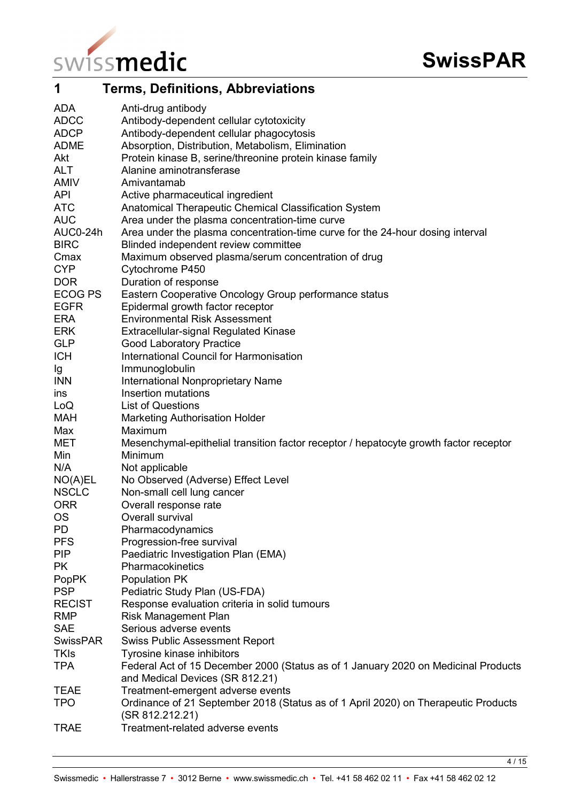

<span id="page-3-0"></span>

| 1                          | <b>Terms, Definitions, Abbreviations</b>                                                              |
|----------------------------|-------------------------------------------------------------------------------------------------------|
| <b>ADA</b>                 | Anti-drug antibody                                                                                    |
| <b>ADCC</b>                | Antibody-dependent cellular cytotoxicity                                                              |
| <b>ADCP</b>                | Antibody-dependent cellular phagocytosis                                                              |
| <b>ADME</b>                | Absorption, Distribution, Metabolism, Elimination                                                     |
| Akt                        | Protein kinase B, serine/threonine protein kinase family                                              |
| <b>ALT</b>                 | Alanine aminotransferase                                                                              |
| <b>AMIV</b>                | Amivantamab                                                                                           |
| <b>API</b>                 | Active pharmaceutical ingredient                                                                      |
| <b>ATC</b>                 | Anatomical Therapeutic Chemical Classification System                                                 |
| <b>AUC</b>                 | Area under the plasma concentration-time curve                                                        |
| AUC0-24h                   | Area under the plasma concentration-time curve for the 24-hour dosing interval                        |
| <b>BIRC</b>                | Blinded independent review committee                                                                  |
| Cmax                       | Maximum observed plasma/serum concentration of drug                                                   |
| <b>CYP</b>                 | Cytochrome P450                                                                                       |
| <b>DOR</b>                 | Duration of response                                                                                  |
| ECOG PS                    | Eastern Cooperative Oncology Group performance status                                                 |
| <b>EGFR</b>                | Epidermal growth factor receptor                                                                      |
| <b>ERA</b>                 | <b>Environmental Risk Assessment</b>                                                                  |
| <b>ERK</b>                 | Extracellular-signal Regulated Kinase                                                                 |
| <b>GLP</b>                 | <b>Good Laboratory Practice</b>                                                                       |
| <b>ICH</b>                 | International Council for Harmonisation                                                               |
| Ig                         | Immunoglobulin                                                                                        |
| <b>INN</b>                 | International Nonproprietary Name                                                                     |
| ins                        | Insertion mutations                                                                                   |
| LoQ                        | <b>List of Questions</b>                                                                              |
| <b>MAH</b>                 | <b>Marketing Authorisation Holder</b>                                                                 |
| Max                        | Maximum                                                                                               |
| MET                        | Mesenchymal-epithelial transition factor receptor / hepatocyte growth factor receptor                 |
| Min                        | Minimum                                                                                               |
| N/A                        | Not applicable                                                                                        |
| NO(A)EL                    | No Observed (Adverse) Effect Level                                                                    |
| <b>NSCLC</b>               | Non-small cell lung cancer                                                                            |
| <b>ORR</b>                 | Overall response rate                                                                                 |
| <b>OS</b>                  | Overall survival                                                                                      |
| <b>PD</b><br><b>PFS</b>    | Pharmacodynamics                                                                                      |
|                            | Progression-free survival                                                                             |
| <b>PIP</b>                 | Paediatric Investigation Plan (EMA)<br>Pharmacokinetics                                               |
| <b>PK</b>                  |                                                                                                       |
| <b>PopPK</b><br><b>PSP</b> | Population PK                                                                                         |
| <b>RECIST</b>              | Pediatric Study Plan (US-FDA)<br>Response evaluation criteria in solid tumours                        |
| <b>RMP</b>                 | <b>Risk Management Plan</b>                                                                           |
| <b>SAE</b>                 | Serious adverse events                                                                                |
| <b>SwissPAR</b>            | <b>Swiss Public Assessment Report</b>                                                                 |
| <b>TKIs</b>                | Tyrosine kinase inhibitors                                                                            |
| <b>TPA</b>                 | Federal Act of 15 December 2000 (Status as of 1 January 2020 on Medicinal Products                    |
|                            | and Medical Devices (SR 812.21)                                                                       |
| <b>TEAE</b>                | Treatment-emergent adverse events                                                                     |
| <b>TPO</b>                 | Ordinance of 21 September 2018 (Status as of 1 April 2020) on Therapeutic Products<br>(SR 812.212.21) |
| <b>TRAE</b>                | Treatment-related adverse events                                                                      |

4 / 15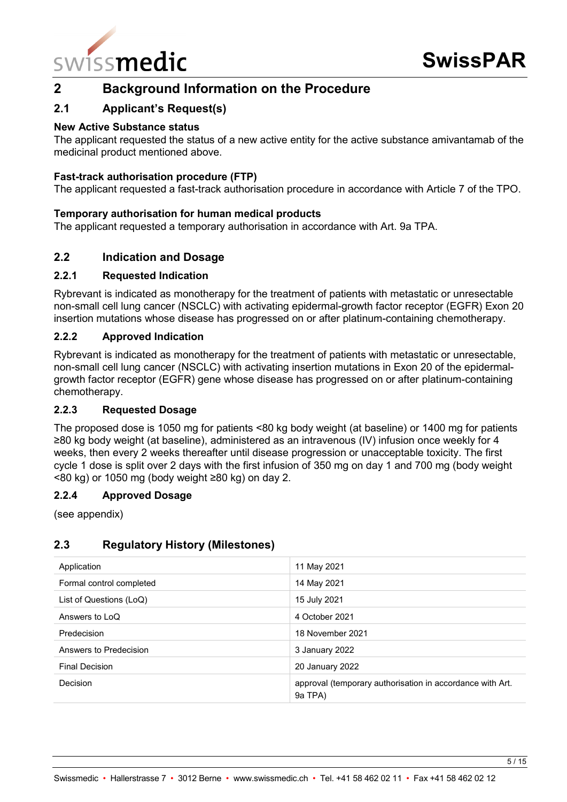

# <span id="page-4-0"></span>**2 Background Information on the Procedure**

## <span id="page-4-1"></span>**2.1 Applicant's Request(s)**

#### **New Active Substance status**

The applicant requested the status of a new active entity for the active substance amivantamab of the medicinal product mentioned above.

#### **Fast-track authorisation procedure (FTP)**

The applicant requested a fast-track authorisation procedure in accordance with Article 7 of the TPO.

#### **Temporary authorisation for human medical products**

The applicant requested a temporary authorisation in accordance with Art. 9a TPA.

#### <span id="page-4-2"></span>**2.2 Indication and Dosage**

#### <span id="page-4-3"></span>**2.2.1 Requested Indication**

Rybrevant is indicated as monotherapy for the treatment of patients with metastatic or unresectable non-small cell lung cancer (NSCLC) with activating epidermal-growth factor receptor (EGFR) Exon 20 insertion mutations whose disease has progressed on or after platinum-containing chemotherapy.

#### <span id="page-4-4"></span>**2.2.2 Approved Indication**

Rybrevant is indicated as monotherapy for the treatment of patients with metastatic or unresectable, non-small cell lung cancer (NSCLC) with activating insertion mutations in Exon 20 of the epidermalgrowth factor receptor (EGFR) gene whose disease has progressed on or after platinum-containing chemotherapy.

#### <span id="page-4-5"></span>**2.2.3 Requested Dosage**

The proposed dose is 1050 mg for patients <80 kg body weight (at baseline) or 1400 mg for patients ≥80 kg body weight (at baseline), administered as an intravenous (IV) infusion once weekly for 4 weeks, then every 2 weeks thereafter until disease progression or unacceptable toxicity. The first cycle 1 dose is split over 2 days with the first infusion of 350 mg on day 1 and 700 mg (body weight <80 kg) or 1050 mg (body weight ≥80 kg) on day 2.

#### <span id="page-4-6"></span>**2.2.4 Approved Dosage**

(see appendix)

#### <span id="page-4-7"></span>**2.3 Regulatory History (Milestones)**

| Application              | 11 May 2021                                                          |
|--------------------------|----------------------------------------------------------------------|
| Formal control completed | 14 May 2021                                                          |
| List of Questions (LoQ)  | 15 July 2021                                                         |
| Answers to LoQ           | 4 October 2021                                                       |
| Predecision              | 18 November 2021                                                     |
| Answers to Predecision   | 3 January 2022                                                       |
| <b>Final Decision</b>    | 20 January 2022                                                      |
| Decision                 | approval (temporary authorisation in accordance with Art.<br>9a TPA) |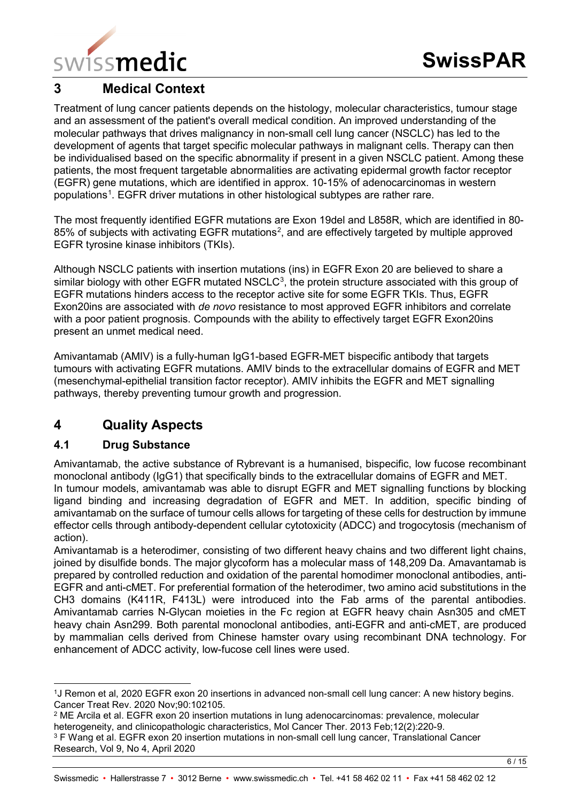

# <span id="page-5-0"></span>**3 Medical Context**

Treatment of lung cancer patients depends on the histology, molecular characteristics, tumour stage and an assessment of the patient's overall medical condition. An improved understanding of the molecular pathways that drives malignancy in non-small cell lung cancer (NSCLC) has led to the development of agents that target specific molecular pathways in malignant cells. Therapy can then be individualised based on the specific abnormality if present in a given NSCLC patient. Among these patients, the most frequent targetable abnormalities are activating epidermal growth factor receptor (EGFR) gene mutations, which are identified in approx. 10-15% of adenocarcinomas in western populations<sup>[1](#page-5-3)</sup>. EGFR driver mutations in other histological subtypes are rather rare.

The most frequently identified EGFR mutations are Exon 19del and L858R, which are identified in 80- 85% of subjects with activating EGFR mutations<sup>[2](#page-5-4)</sup>, and are effectively targeted by multiple approved EGFR tyrosine kinase inhibitors (TKIs).

Although NSCLC patients with insertion mutations (ins) in EGFR Exon 20 are believed to share a similar biology with other EGFR mutated NSCLC<sup>[3](#page-5-5)</sup>, the protein structure associated with this group of EGFR mutations hinders access to the receptor active site for some EGFR TKIs. Thus, EGFR Exon20ins are associated with *de novo* resistance to most approved EGFR inhibitors and correlate with a poor patient prognosis. Compounds with the ability to effectively target EGFR Exon20ins present an unmet medical need.

Amivantamab (AMIV) is a fully-human IgG1-based EGFR-MET bispecific antibody that targets tumours with activating EGFR mutations. AMIV binds to the extracellular domains of EGFR and MET (mesenchymal-epithelial transition factor receptor). AMIV inhibits the EGFR and MET signalling pathways, thereby preventing tumour growth and progression.

# <span id="page-5-1"></span>**4 Quality Aspects**

# <span id="page-5-2"></span>**4.1 Drug Substance**

Amivantamab, the active substance of Rybrevant is a humanised, bispecific, low fucose recombinant monoclonal antibody (IgG1) that specifically binds to the extracellular domains of EGFR and MET. In tumour models, amivantamab was able to disrupt EGFR and MET signalling functions by blocking ligand binding and increasing degradation of EGFR and MET. In addition, specific binding of amivantamab on the surface of tumour cells allows for targeting of these cells for destruction by immune effector cells through antibody-dependent cellular cytotoxicity (ADCC) and trogocytosis (mechanism of action).

Amivantamab is a heterodimer, consisting of two different heavy chains and two different light chains, joined by disulfide bonds. The major glycoform has a molecular mass of 148,209 Da. Amavantamab is prepared by controlled reduction and oxidation of the parental homodimer monoclonal antibodies, anti-EGFR and anti-cMET. For preferential formation of the heterodimer, two amino acid substitutions in the CH3 domains (K411R, F413L) were introduced into the Fab arms of the parental antibodies. Amivantamab carries N-Glycan moieties in the Fc region at EGFR heavy chain Asn305 and cMET heavy chain Asn299. Both parental monoclonal antibodies, anti-EGFR and anti-cMET, are produced by mammalian cells derived from Chinese hamster ovary using recombinant DNA technology. For enhancement of ADCC activity, low-fucose cell lines were used.

<span id="page-5-3"></span> <sup>1</sup>J Remon et al, 2020 EGFR exon 20 insertions in advanced non-small cell lung cancer: A new history begins. Cancer Treat Rev. 2020 Nov;90:102105.

<span id="page-5-4"></span><sup>2</sup> ME Arcila et al. EGFR exon 20 insertion mutations in lung adenocarcinomas: prevalence, molecular heterogeneity, and clinicopathologic characteristics, Mol Cancer Ther, 2013 Feb:12(2):220-9.

<span id="page-5-5"></span><sup>&</sup>lt;sup>3</sup> F Wang et al. EGFR exon 20 insertion mutations in non-small cell lung cancer, Translational Cancer Research, Vol 9, No 4, April 2020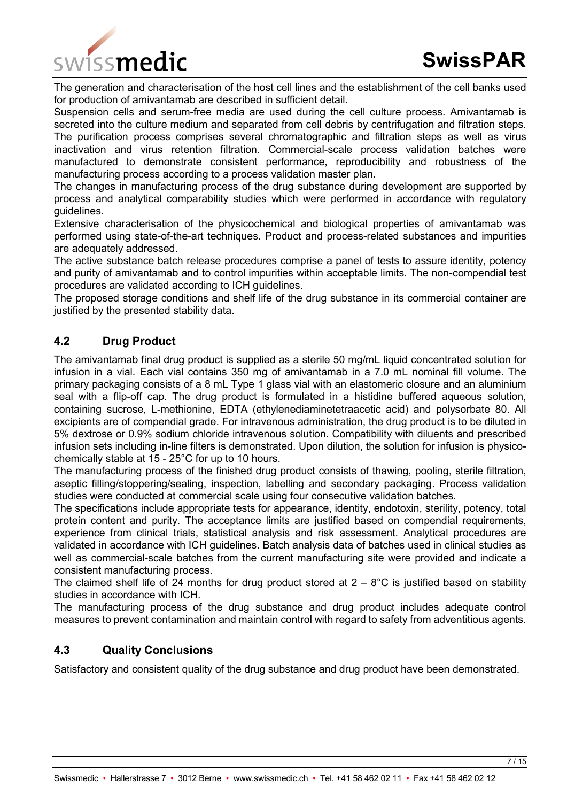The generation and characterisation of the host cell lines and the establishment of the cell banks used for production of amivantamab are described in sufficient detail.

Suspension cells and serum-free media are used during the cell culture process. Amivantamab is secreted into the culture medium and separated from cell debris by centrifugation and filtration steps. The purification process comprises several chromatographic and filtration steps as well as virus inactivation and virus retention filtration. Commercial-scale process validation batches were manufactured to demonstrate consistent performance, reproducibility and robustness of the manufacturing process according to a process validation master plan.

The changes in manufacturing process of the drug substance during development are supported by process and analytical comparability studies which were performed in accordance with regulatory guidelines.

Extensive characterisation of the physicochemical and biological properties of amivantamab was performed using state-of-the-art techniques. Product and process-related substances and impurities are adequately addressed.

The active substance batch release procedures comprise a panel of tests to assure identity, potency and purity of amivantamab and to control impurities within acceptable limits. The non-compendial test procedures are validated according to ICH guidelines.

The proposed storage conditions and shelf life of the drug substance in its commercial container are justified by the presented stability data.

# <span id="page-6-0"></span>**4.2 Drug Product**

The amivantamab final drug product is supplied as a sterile 50 mg/mL liquid concentrated solution for infusion in a vial. Each vial contains 350 mg of amivantamab in a 7.0 mL nominal fill volume. The primary packaging consists of a 8 mL Type 1 glass vial with an elastomeric closure and an aluminium seal with a flip-off cap. The drug product is formulated in a histidine buffered aqueous solution, containing sucrose, L-methionine, EDTA (ethylenediaminetetraacetic acid) and polysorbate 80. All excipients are of compendial grade. For intravenous administration, the drug product is to be diluted in 5% dextrose or 0.9% sodium chloride intravenous solution. Compatibility with diluents and prescribed infusion sets including in-line filters is demonstrated. Upon dilution, the solution for infusion is physicochemically stable at 15 - 25°C for up to 10 hours.

The manufacturing process of the finished drug product consists of thawing, pooling, sterile filtration, aseptic filling/stoppering/sealing, inspection, labelling and secondary packaging. Process validation studies were conducted at commercial scale using four consecutive validation batches.

The specifications include appropriate tests for appearance, identity, endotoxin, sterility, potency, total protein content and purity. The acceptance limits are justified based on compendial requirements, experience from clinical trials, statistical analysis and risk assessment. Analytical procedures are validated in accordance with ICH guidelines. Batch analysis data of batches used in clinical studies as well as commercial-scale batches from the current manufacturing site were provided and indicate a consistent manufacturing process.

The claimed shelf life of 24 months for drug product stored at  $2 - 8$ °C is justified based on stability studies in accordance with ICH.

The manufacturing process of the drug substance and drug product includes adequate control measures to prevent contamination and maintain control with regard to safety from adventitious agents.

# <span id="page-6-1"></span>**4.3 Quality Conclusions**

Satisfactory and consistent quality of the drug substance and drug product have been demonstrated.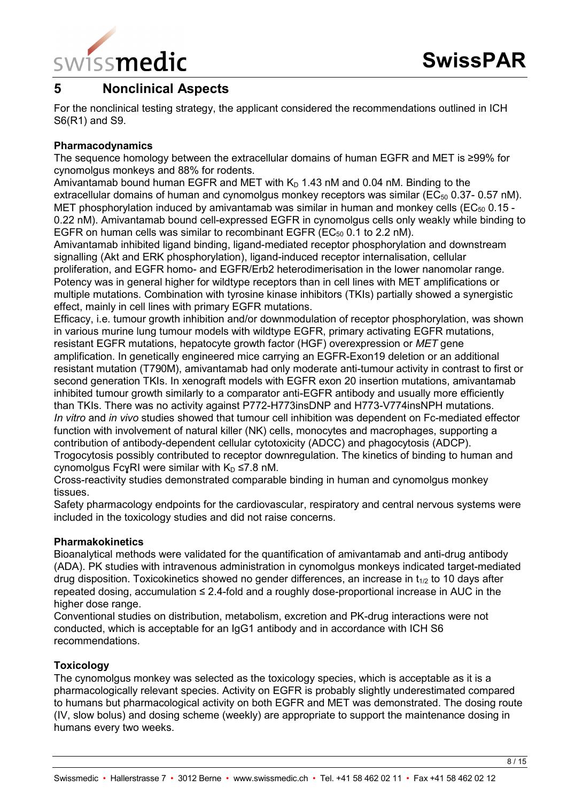

# <span id="page-7-0"></span>**5 Nonclinical Aspects**

For the nonclinical testing strategy, the applicant considered the recommendations outlined in ICH S6(R1) and S9.

#### **Pharmacodynamics**

The sequence homology between the extracellular domains of human EGFR and MET is ≥99% for cynomolgus monkeys and 88% for rodents.

Amivantamab bound human EGFR and MET with  $K<sub>D</sub>$  1.43 nM and 0.04 nM. Binding to the extracellular domains of human and cynomolgus monkey receptors was similar ( $EC_{50}$  0.37- 0.57 nM). MET phosphorylation induced by amivantamab was similar in human and monkey cells ( $EC_{50}$  0.15 -0.22 nM). Amivantamab bound cell-expressed EGFR in cynomolgus cells only weakly while binding to EGFR on human cells was similar to recombinant EGFR ( $EC_{50}$  0.1 to 2.2 nM).

Amivantamab inhibited ligand binding, ligand-mediated receptor phosphorylation and downstream signalling (Akt and ERK phosphorylation), ligand-induced receptor internalisation, cellular proliferation, and EGFR homo- and EGFR/Erb2 heterodimerisation in the lower nanomolar range. Potency was in general higher for wildtype receptors than in cell lines with MET amplifications or multiple mutations. Combination with tyrosine kinase inhibitors (TKIs) partially showed a synergistic effect, mainly in cell lines with primary EGFR mutations.

Efficacy, i.e. tumour growth inhibition and/or downmodulation of receptor phosphorylation, was shown in various murine lung tumour models with wildtype EGFR, primary activating EGFR mutations, resistant EGFR mutations, hepatocyte growth factor (HGF) overexpression or *MET* gene amplification. In genetically engineered mice carrying an EGFR-Exon19 deletion or an additional resistant mutation (T790M), amivantamab had only moderate anti-tumour activity in contrast to first or second generation TKIs. In xenograft models with EGFR exon 20 insertion mutations, amivantamab inhibited tumour growth similarly to a comparator anti-EGFR antibody and usually more efficiently than TKIs. There was no activity against P772-H773insDNP and H773-V774insNPH mutations. *In vitro* and *in vivo* studies showed that tumour cell inhibition was dependent on Fc-mediated effector function with involvement of natural killer (NK) cells, monocytes and macrophages, supporting a contribution of antibody-dependent cellular cytotoxicity (ADCC) and phagocytosis (ADCP). Trogocytosis possibly contributed to receptor downregulation. The kinetics of binding to human and cynomolgus FcyRI were similar with  $K_D \le 7.8$  nM.

Cross-reactivity studies demonstrated comparable binding in human and cynomolgus monkey tissues.

Safety pharmacology endpoints for the cardiovascular, respiratory and central nervous systems were included in the toxicology studies and did not raise concerns.

#### **Pharmakokinetics**

Bioanalytical methods were validated for the quantification of amivantamab and anti-drug antibody (ADA). PK studies with intravenous administration in cynomolgus monkeys indicated target-mediated drug disposition. Toxicokinetics showed no gender differences, an increase in  $t_{1/2}$  to 10 days after repeated dosing, accumulation ≤ 2.4-fold and a roughly dose-proportional increase in AUC in the higher dose range.

Conventional studies on distribution, metabolism, excretion and PK-drug interactions were not conducted, which is acceptable for an IgG1 antibody and in accordance with ICH S6 recommendations.

#### **Toxicology**

The cynomolgus monkey was selected as the toxicology species, which is acceptable as it is a pharmacologically relevant species. Activity on EGFR is probably slightly underestimated compared to humans but pharmacological activity on both EGFR and MET was demonstrated. The dosing route (IV, slow bolus) and dosing scheme (weekly) are appropriate to support the maintenance dosing in humans every two weeks.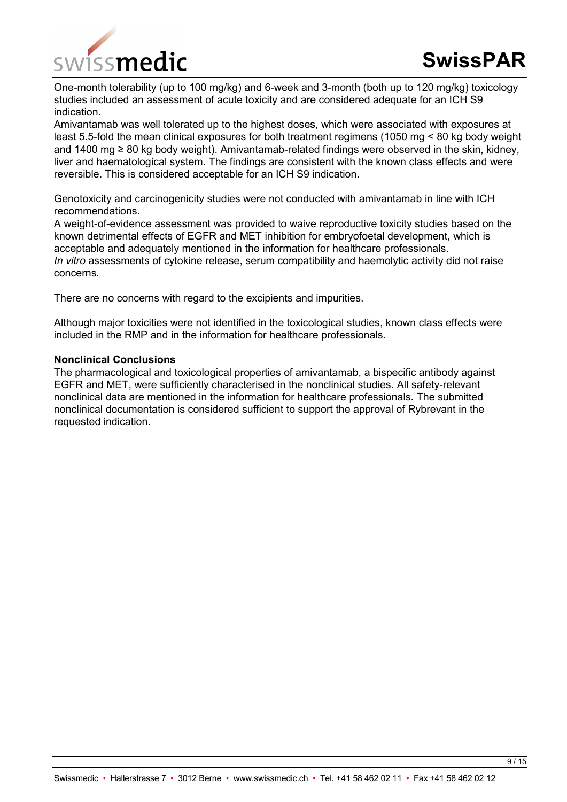

One-month tolerability (up to 100 mg/kg) and 6-week and 3-month (both up to 120 mg/kg) toxicology studies included an assessment of acute toxicity and are considered adequate for an ICH S9 indication.

Amivantamab was well tolerated up to the highest doses, which were associated with exposures at least 5.5-fold the mean clinical exposures for both treatment regimens (1050 mg < 80 kg body weight and 1400 mg ≥ 80 kg body weight). Amivantamab-related findings were observed in the skin, kidney, liver and haematological system. The findings are consistent with the known class effects and were reversible. This is considered acceptable for an ICH S9 indication.

Genotoxicity and carcinogenicity studies were not conducted with amivantamab in line with ICH recommendations.

A weight-of-evidence assessment was provided to waive reproductive toxicity studies based on the known detrimental effects of EGFR and MET inhibition for embryofoetal development, which is acceptable and adequately mentioned in the information for healthcare professionals. *In vitro* assessments of cytokine release, serum compatibility and haemolytic activity did not raise concerns.

There are no concerns with regard to the excipients and impurities.

Although major toxicities were not identified in the toxicological studies, known class effects were included in the RMP and in the information for healthcare professionals.

#### **Nonclinical Conclusions**

The pharmacological and toxicological properties of amivantamab, a bispecific antibody against EGFR and MET, were sufficiently characterised in the nonclinical studies. All safety-relevant nonclinical data are mentioned in the information for healthcare professionals. The submitted nonclinical documentation is considered sufficient to support the approval of Rybrevant in the requested indication.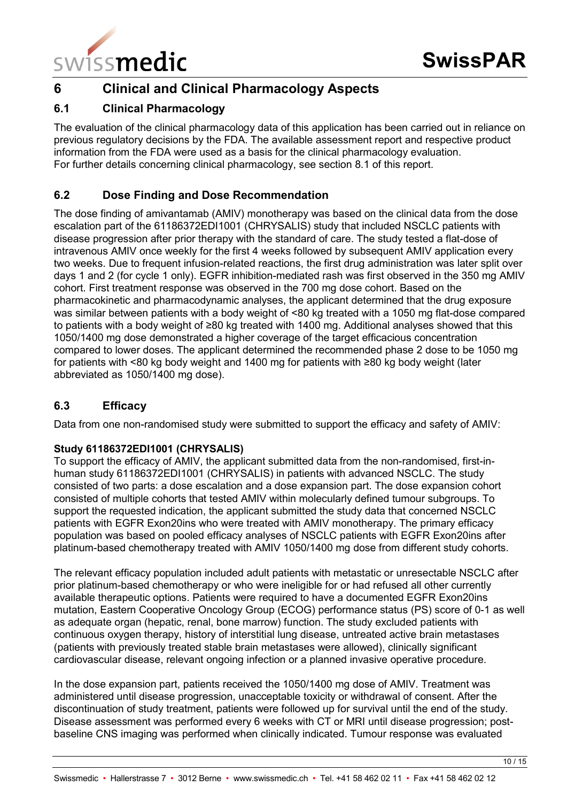

# <span id="page-9-0"></span>**6 Clinical and Clinical Pharmacology Aspects**

# <span id="page-9-1"></span>**6.1 Clinical Pharmacology**

The evaluation of the clinical pharmacology data of this application has been carried out in reliance on previous regulatory decisions by the FDA. The available assessment report and respective product information from the FDA were used as a basis for the clinical pharmacology evaluation. For further details concerning clinical pharmacology, see section 8.1 of this report.

# <span id="page-9-2"></span>**6.2 Dose Finding and Dose Recommendation**

The dose finding of amivantamab (AMIV) monotherapy was based on the clinical data from the dose escalation part of the 61186372EDI1001 (CHRYSALIS) study that included NSCLC patients with disease progression after prior therapy with the standard of care. The study tested a flat-dose of intravenous AMIV once weekly for the first 4 weeks followed by subsequent AMIV application every two weeks. Due to frequent infusion-related reactions, the first drug administration was later split over days 1 and 2 (for cycle 1 only). EGFR inhibition-mediated rash was first observed in the 350 mg AMIV cohort. First treatment response was observed in the 700 mg dose cohort. Based on the pharmacokinetic and pharmacodynamic analyses, the applicant determined that the drug exposure was similar between patients with a body weight of <80 kg treated with a 1050 mg flat-dose compared to patients with a body weight of ≥80 kg treated with 1400 mg. Additional analyses showed that this 1050/1400 mg dose demonstrated a higher coverage of the target efficacious concentration compared to lower doses. The applicant determined the recommended phase 2 dose to be 1050 mg for patients with <80 kg body weight and 1400 mg for patients with ≥80 kg body weight (later abbreviated as 1050/1400 mg dose).

# <span id="page-9-3"></span>**6.3 Efficacy**

Data from one non-randomised study were submitted to support the efficacy and safety of AMIV:

#### **Study 61186372EDI1001 (CHRYSALIS)**

To support the efficacy of AMIV, the applicant submitted data from the non-randomised, first-inhuman study 61186372EDI1001 (CHRYSALIS) in patients with advanced NSCLC. The study consisted of two parts: a dose escalation and a dose expansion part. The dose expansion cohort consisted of multiple cohorts that tested AMIV within molecularly defined tumour subgroups. To support the requested indication, the applicant submitted the study data that concerned NSCLC patients with EGFR Exon20ins who were treated with AMIV monotherapy. The primary efficacy population was based on pooled efficacy analyses of NSCLC patients with EGFR Exon20ins after platinum-based chemotherapy treated with AMIV 1050/1400 mg dose from different study cohorts.

The relevant efficacy population included adult patients with metastatic or unresectable NSCLC after prior platinum-based chemotherapy or who were ineligible for or had refused all other currently available therapeutic options. Patients were required to have a documented EGFR Exon20ins mutation, Eastern Cooperative Oncology Group (ECOG) performance status (PS) score of 0-1 as well as adequate organ (hepatic, renal, bone marrow) function. The study excluded patients with continuous oxygen therapy, history of interstitial lung disease, untreated active brain metastases (patients with previously treated stable brain metastases were allowed), clinically significant cardiovascular disease, relevant ongoing infection or a planned invasive operative procedure.

In the dose expansion part, patients received the 1050/1400 mg dose of AMIV. Treatment was administered until disease progression, unacceptable toxicity or withdrawal of consent. After the discontinuation of study treatment, patients were followed up for survival until the end of the study. Disease assessment was performed every 6 weeks with CT or MRI until disease progression; postbaseline CNS imaging was performed when clinically indicated. Tumour response was evaluated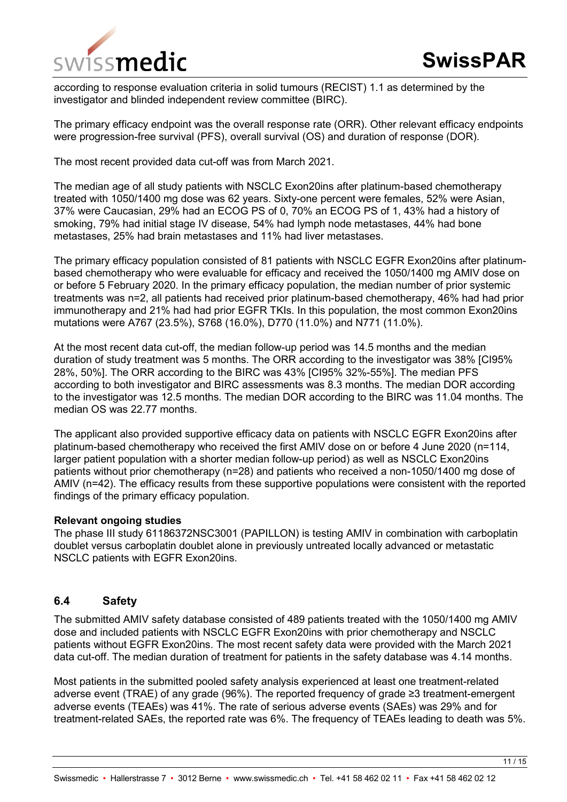

according to response evaluation criteria in solid tumours (RECIST) 1.1 as determined by the investigator and blinded independent review committee (BIRC).

The primary efficacy endpoint was the overall response rate (ORR). Other relevant efficacy endpoints were progression-free survival (PFS), overall survival (OS) and duration of response (DOR).

The most recent provided data cut-off was from March 2021.

The median age of all study patients with NSCLC Exon20ins after platinum-based chemotherapy treated with 1050/1400 mg dose was 62 years. Sixty-one percent were females, 52% were Asian, 37% were Caucasian, 29% had an ECOG PS of 0, 70% an ECOG PS of 1, 43% had a history of smoking, 79% had initial stage IV disease, 54% had lymph node metastases, 44% had bone metastases, 25% had brain metastases and 11% had liver metastases.

The primary efficacy population consisted of 81 patients with NSCLC EGFR Exon20ins after platinumbased chemotherapy who were evaluable for efficacy and received the 1050/1400 mg AMIV dose on or before 5 February 2020. In the primary efficacy population, the median number of prior systemic treatments was n=2, all patients had received prior platinum-based chemotherapy, 46% had had prior immunotherapy and 21% had had prior EGFR TKIs. In this population, the most common Exon20ins mutations were A767 (23.5%), S768 (16.0%), D770 (11.0%) and N771 (11.0%).

At the most recent data cut-off, the median follow-up period was 14.5 months and the median duration of study treatment was 5 months. The ORR according to the investigator was 38% [CI95% 28%, 50%]. The ORR according to the BIRC was 43% [CI95% 32%-55%]. The median PFS according to both investigator and BIRC assessments was 8.3 months. The median DOR according to the investigator was 12.5 months. The median DOR according to the BIRC was 11.04 months. The median OS was 22.77 months.

The applicant also provided supportive efficacy data on patients with NSCLC EGFR Exon20ins after platinum-based chemotherapy who received the first AMIV dose on or before 4 June 2020 (n=114, larger patient population with a shorter median follow-up period) as well as NSCLC Exon20ins patients without prior chemotherapy (n=28) and patients who received a non-1050/1400 mg dose of AMIV (n=42). The efficacy results from these supportive populations were consistent with the reported findings of the primary efficacy population.

#### **Relevant ongoing studies**

The phase III study 61186372NSC3001 (PAPILLON) is testing AMIV in combination with carboplatin doublet versus carboplatin doublet alone in previously untreated locally advanced or metastatic NSCLC patients with EGFR Exon20ins.

#### <span id="page-10-0"></span>**6.4 Safety**

The submitted AMIV safety database consisted of 489 patients treated with the 1050/1400 mg AMIV dose and included patients with NSCLC EGFR Exon20ins with prior chemotherapy and NSCLC patients without EGFR Exon20ins. The most recent safety data were provided with the March 2021 data cut-off. The median duration of treatment for patients in the safety database was 4.14 months.

Most patients in the submitted pooled safety analysis experienced at least one treatment-related adverse event (TRAE) of any grade (96%). The reported frequency of grade ≥3 treatment-emergent adverse events (TEAEs) was 41%. The rate of serious adverse events (SAEs) was 29% and for treatment-related SAEs, the reported rate was 6%. The frequency of TEAEs leading to death was 5%.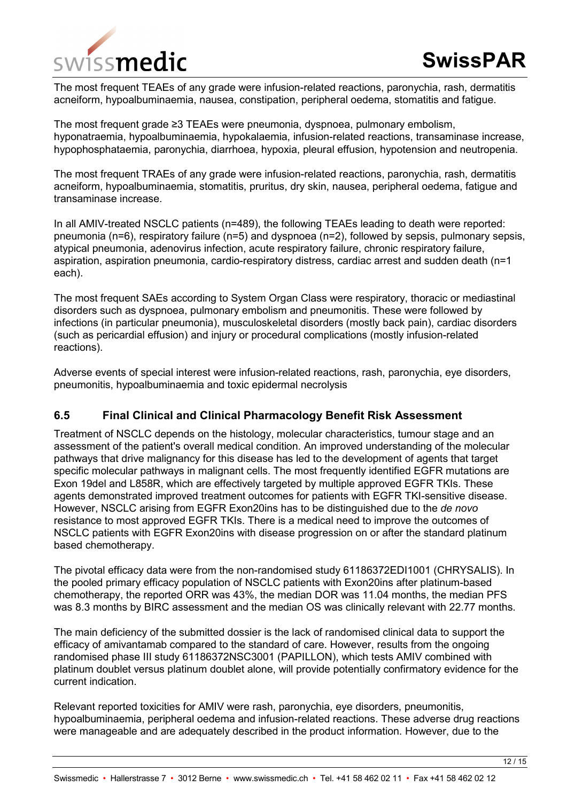

The most frequent TEAEs of any grade were infusion-related reactions, paronychia, rash, dermatitis acneiform, hypoalbuminaemia, nausea, constipation, peripheral oedema, stomatitis and fatigue.

The most frequent grade ≥3 TEAEs were pneumonia, dyspnoea, pulmonary embolism, hyponatraemia, hypoalbuminaemia, hypokalaemia, infusion-related reactions, transaminase increase, hypophosphataemia, paronychia, diarrhoea, hypoxia, pleural effusion, hypotension and neutropenia.

The most frequent TRAEs of any grade were infusion-related reactions, paronychia, rash, dermatitis acneiform, hypoalbuminaemia, stomatitis, pruritus, dry skin, nausea, peripheral oedema, fatigue and transaminase increase.

In all AMIV-treated NSCLC patients (n=489), the following TEAEs leading to death were reported: pneumonia (n=6), respiratory failure (n=5) and dyspnoea (n=2), followed by sepsis, pulmonary sepsis, atypical pneumonia, adenovirus infection, acute respiratory failure, chronic respiratory failure, aspiration, aspiration pneumonia, cardio-respiratory distress, cardiac arrest and sudden death (n=1 each).

The most frequent SAEs according to System Organ Class were respiratory, thoracic or mediastinal disorders such as dyspnoea, pulmonary embolism and pneumonitis. These were followed by infections (in particular pneumonia), musculoskeletal disorders (mostly back pain), cardiac disorders (such as pericardial effusion) and injury or procedural complications (mostly infusion-related reactions).

Adverse events of special interest were infusion-related reactions, rash, paronychia, eye disorders, pneumonitis, hypoalbuminaemia and toxic epidermal necrolysis

#### <span id="page-11-0"></span>**6.5 Final Clinical and Clinical Pharmacology Benefit Risk Assessment**

Treatment of NSCLC depends on the histology, molecular characteristics, tumour stage and an assessment of the patient's overall medical condition. An improved understanding of the molecular pathways that drive malignancy for this disease has led to the development of agents that target specific molecular pathways in malignant cells. The most frequently identified EGFR mutations are Exon 19del and L858R, which are effectively targeted by multiple approved EGFR TKIs. These agents demonstrated improved treatment outcomes for patients with EGFR TKI-sensitive disease. However, NSCLC arising from EGFR Exon20ins has to be distinguished due to the *de novo* resistance to most approved EGFR TKIs. There is a medical need to improve the outcomes of NSCLC patients with EGFR Exon20ins with disease progression on or after the standard platinum based chemotherapy.

The pivotal efficacy data were from the non-randomised study 61186372EDI1001 (CHRYSALIS). In the pooled primary efficacy population of NSCLC patients with Exon20ins after platinum-based chemotherapy, the reported ORR was 43%, the median DOR was 11.04 months, the median PFS was 8.3 months by BIRC assessment and the median OS was clinically relevant with 22.77 months.

The main deficiency of the submitted dossier is the lack of randomised clinical data to support the efficacy of amivantamab compared to the standard of care. However, results from the ongoing randomised phase III study 61186372NSC3001 (PAPILLON), which tests AMIV combined with platinum doublet versus platinum doublet alone, will provide potentially confirmatory evidence for the current indication.

Relevant reported toxicities for AMIV were rash, paronychia, eye disorders, pneumonitis, hypoalbuminaemia, peripheral oedema and infusion-related reactions. These adverse drug reactions were manageable and are adequately described in the product information. However, due to the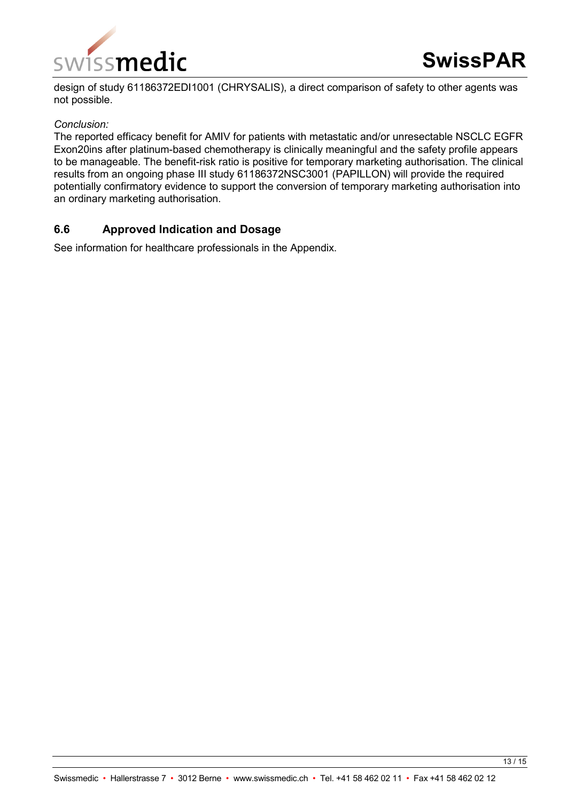

design of study 61186372EDI1001 (CHRYSALIS), a direct comparison of safety to other agents was not possible.

#### *Conclusion:*

The reported efficacy benefit for AMIV for patients with metastatic and/or unresectable NSCLC EGFR Exon20ins after platinum-based chemotherapy is clinically meaningful and the safety profile appears to be manageable. The benefit-risk ratio is positive for temporary marketing authorisation. The clinical results from an ongoing phase III study 61186372NSC3001 (PAPILLON) will provide the required potentially confirmatory evidence to support the conversion of temporary marketing authorisation into an ordinary marketing authorisation.

#### <span id="page-12-0"></span>**6.6 Approved Indication and Dosage**

See information for healthcare professionals in the Appendix.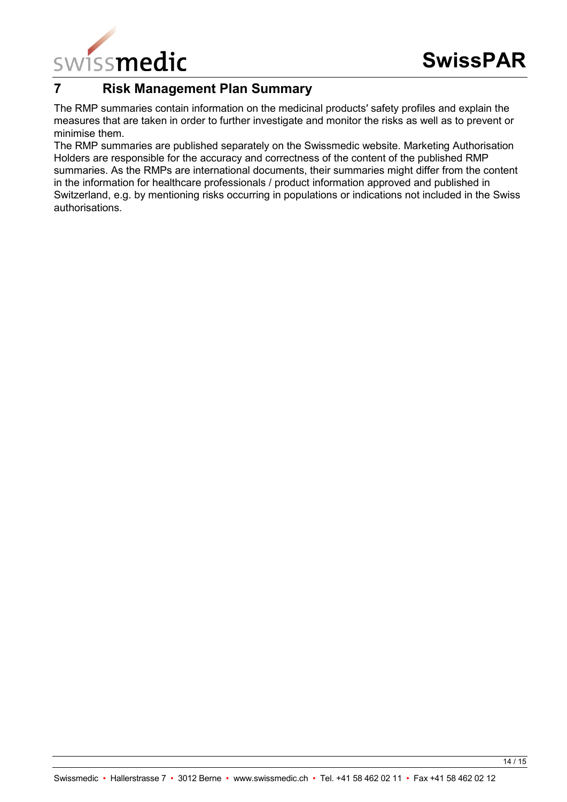

# <span id="page-13-0"></span>**7 Risk Management Plan Summary**

The RMP summaries contain information on the medicinal products′ safety profiles and explain the measures that are taken in order to further investigate and monitor the risks as well as to prevent or minimise them.

The RMP summaries are published separately on the Swissmedic website. Marketing Authorisation Holders are responsible for the accuracy and correctness of the content of the published RMP summaries. As the RMPs are international documents, their summaries might differ from the content in the information for healthcare professionals / product information approved and published in Switzerland, e.g. by mentioning risks occurring in populations or indications not included in the Swiss authorisations.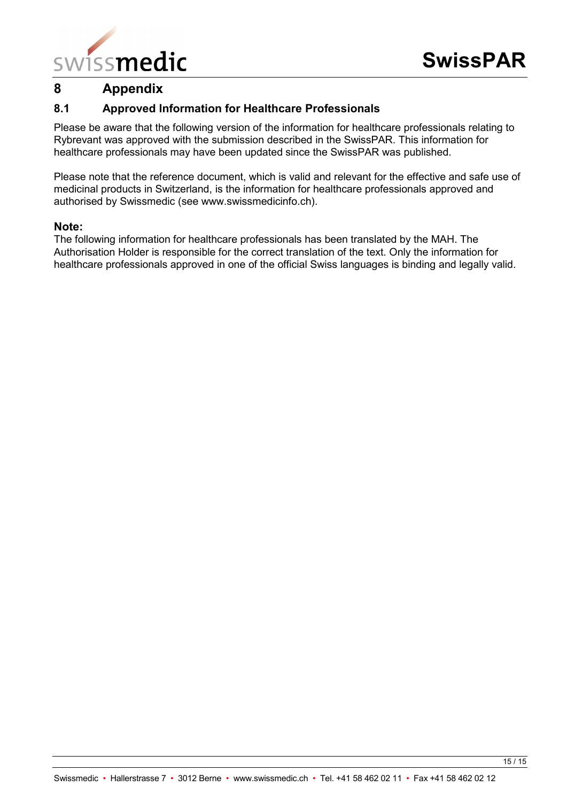

# <span id="page-14-0"></span>**8 Appendix**

#### <span id="page-14-1"></span>**8.1 Approved Information for Healthcare Professionals**

Please be aware that the following version of the information for healthcare professionals relating to Rybrevant was approved with the submission described in the SwissPAR. This information for healthcare professionals may have been updated since the SwissPAR was published.

Please note that the reference document, which is valid and relevant for the effective and safe use of medicinal products in Switzerland, is the information for healthcare professionals approved and authorised by Swissmedic (see www.swissmedicinfo.ch).

#### **Note:**

The following information for healthcare professionals has been translated by the MAH. The Authorisation Holder is responsible for the correct translation of the text. Only the information for healthcare professionals approved in one of the official Swiss languages is binding and legally valid.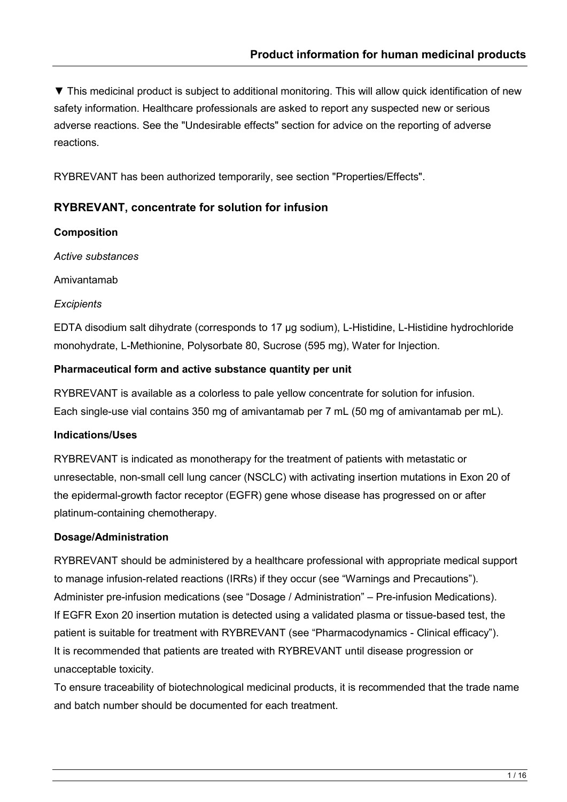▼ This medicinal product is subject to additional monitoring. This will allow quick identification of new safety information. Healthcare professionals are asked to report any suspected new or serious adverse reactions. See the "Undesirable effects" section for advice on the reporting of adverse reactions.

RYBREVANT has been authorized temporarily, see section "Properties/Effects".

# **RYBREVANT, concentrate for solution for infusion**

#### **Composition**

*Active substances*

Amivantamab

#### *Excipients*

EDTA disodium salt dihydrate (corresponds to 17 μg sodium), L-Histidine, L-Histidine hydrochloride monohydrate, L-Methionine, Polysorbate 80, Sucrose (595 mg), Water for Injection.

#### **Pharmaceutical form and active substance quantity per unit**

RYBREVANT is available as a colorless to pale yellow concentrate for solution for infusion. Each single-use vial contains 350 mg of amivantamab per 7 mL (50 mg of amivantamab per mL).

# **Indications/Uses**

RYBREVANT is indicated as monotherapy for the treatment of patients with metastatic or unresectable, non-small cell lung cancer (NSCLC) with activating insertion mutations in Exon 20 of the epidermal-growth factor receptor (EGFR) gene whose disease has progressed on or after platinum-containing chemotherapy.

# **Dosage/Administration**

RYBREVANT should be administered by a healthcare professional with appropriate medical support to manage infusion-related reactions (IRRs) if they occur (see "Warnings and Precautions"). Administer pre-infusion medications (see "Dosage / Administration" – Pre-infusion Medications). If EGFR Exon 20 insertion mutation is detected using a validated plasma or tissue-based test, the patient is suitable for treatment with RYBREVANT (see "Pharmacodynamics - Clinical efficacy"). It is recommended that patients are treated with RYBREVANT until disease progression or unacceptable toxicity.

To ensure traceability of biotechnological medicinal products, it is recommended that the trade name and batch number should be documented for each treatment.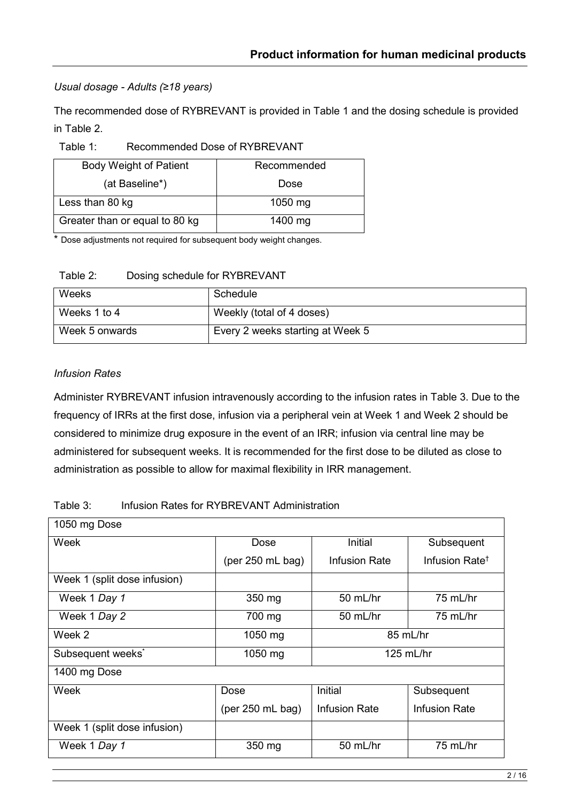## *Usual dosage - Adults (≥18 years)*

The recommended dose of RYBREVANT is provided in Table 1 and the dosing schedule is provided in Table 2.

Table 1: Recommended Dose of RYBREVANT

| <b>Body Weight of Patient</b>  | Recommended |
|--------------------------------|-------------|
| (at Baseline*)                 | Dose        |
| Less than 80 kg                | $1050$ mg   |
| Greater than or equal to 80 kg | 1400 $mg$   |

\* Dose adjustments not required for subsequent body weight changes.

| Table 2: | Dosing schedule for RYBREVANT |
|----------|-------------------------------|
|----------|-------------------------------|

| Weeks          | Schedule                         |
|----------------|----------------------------------|
| Weeks 1 to 4   | Weekly (total of 4 doses)        |
| Week 5 onwards | Every 2 weeks starting at Week 5 |

#### *Infusion Rates*

Administer RYBREVANT infusion intravenously according to the infusion rates in Table 3. Due to the frequency of IRRs at the first dose, infusion via a peripheral vein at Week 1 and Week 2 should be considered to minimize drug exposure in the event of an IRR; infusion via central line may be administered for subsequent weeks. It is recommended for the first dose to be diluted as close to administration as possible to allow for maximal flexibility in IRR management.

#### Table 3: Infusion Rates for RYBREVANT Administration

| 1050 mg Dose                  |                    |                                              |                            |  |
|-------------------------------|--------------------|----------------------------------------------|----------------------------|--|
| Week                          | Dose               | Initial<br>Subsequent                        |                            |  |
|                               | (per $250$ mL bag) | Infusion Rate                                | Infusion Rate <sup>+</sup> |  |
| Week 1 (split dose infusion)  |                    |                                              |                            |  |
| Week 1 Day 1                  | 350 mg             | 50 mL/hr                                     | 75 mL/hr                   |  |
| Week 1 Day 2                  | 700 mg             | 75 mL/hr<br>50 mL/hr                         |                            |  |
| Week 2                        | 1050 mg            | 85 mL/hr                                     |                            |  |
| Subsequent weeks <sup>*</sup> | $1050$ mg          | $125$ mL/hr                                  |                            |  |
| 1400 mg Dose                  |                    |                                              |                            |  |
| Week                          | Dose               | Initial<br>Subsequent                        |                            |  |
|                               | (per $250$ mL bag) | <b>Infusion Rate</b><br><b>Infusion Rate</b> |                            |  |
| Week 1 (split dose infusion)  |                    |                                              |                            |  |
| Week 1 Day 1                  | 350 mg             | 50 mL/hr                                     | 75 mL/hr                   |  |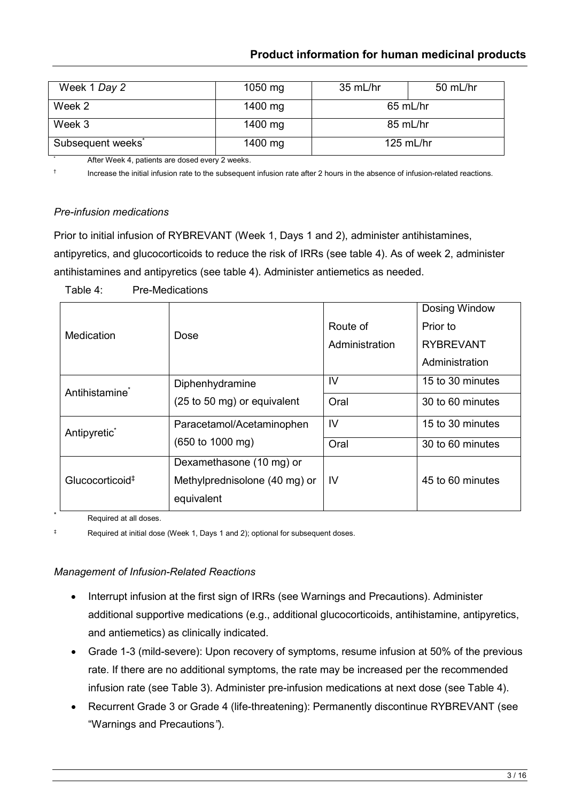# **Product information for human medicinal products**

| Week 1 Day 2                  | $1050$ mg | 35 mL/hr   | 50 mL/hr    |  |
|-------------------------------|-----------|------------|-------------|--|
|                               |           |            |             |  |
| Week 2                        | 1400 mg   | $65$ mL/hr |             |  |
| Week 3                        | 1400 mg   | 85 mL/hr   |             |  |
| Subsequent weeks <sup>*</sup> | 1400 mg   |            | $125$ mL/hr |  |

After Week 4, patients are dosed every 2 weeks.

† Increase the initial infusion rate to the subsequent infusion rate after 2 hours in the absence of infusion-related reactions.

#### *Pre-infusion medications*

Prior to initial infusion of RYBREVANT (Week 1, Days 1 and 2), administer antihistamines, antipyretics, and glucocorticoids to reduce the risk of IRRs (see table 4). As of week 2, administer antihistamines and antipyretics (see table 4). Administer antiemetics as needed.

|                             |                                     |                | Dosing Window    |
|-----------------------------|-------------------------------------|----------------|------------------|
| Medication                  |                                     | Route of       | Prior to         |
|                             | Dose                                | Administration | <b>RYBREVANT</b> |
|                             |                                     |                | Administration   |
| Antihistamine <sup>*</sup>  | Diphenhydramine                     | IV             | 15 to 30 minutes |
|                             | (25 to 50 mg) or equivalent         | Oral           | 30 to 60 minutes |
| Antipyretic <sup>*</sup>    | Paracetamol/Acetaminophen           | $\mathsf{IV}$  | 15 to 30 minutes |
|                             | $(650 \text{ to } 1000 \text{ mg})$ | Oral           | 30 to 60 minutes |
|                             | Dexamethasone (10 mg) or            |                |                  |
| Glucocorticoid <sup>#</sup> | Methylprednisolone (40 mg) or       | -lV            | 45 to 60 minutes |
|                             | equivalent                          |                |                  |

Table 4: Pre-Medications

Required at all doses.

‡ Required at initial dose (Week 1, Days 1 and 2); optional for subsequent doses.

#### *Management of Infusion-Related Reactions*

- Interrupt infusion at the first sign of IRRs (see Warnings and Precautions). Administer additional supportive medications (e.g., additional glucocorticoids, antihistamine, antipyretics, and antiemetics) as clinically indicated.
- Grade 1-3 (mild-severe): Upon recovery of symptoms, resume infusion at 50% of the previous rate. If there are no additional symptoms, the rate may be increased per the recommended infusion rate (see Table 3). Administer pre-infusion medications at next dose (see Table 4).
- Recurrent Grade 3 or Grade 4 (life-threatening): Permanently discontinue RYBREVANT (see "Warnings and Precautions*"*).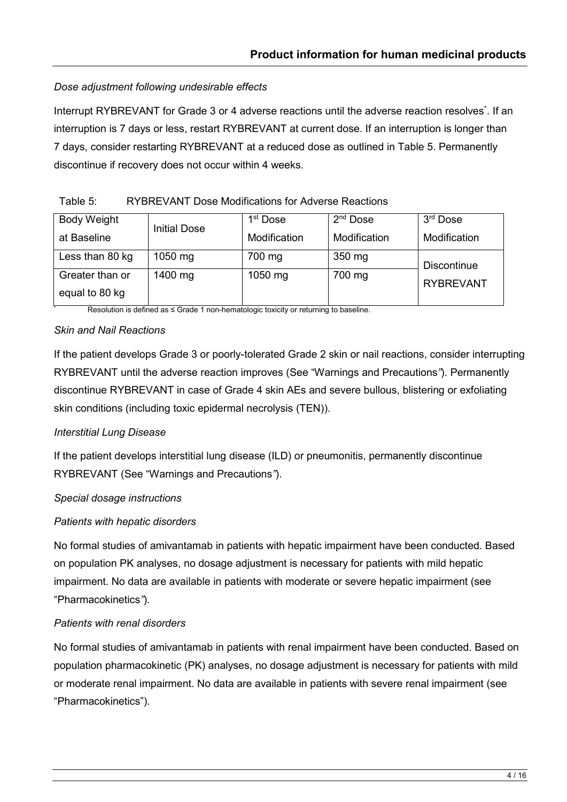## *Dose adjustment following undesirable effects*

Interrupt RYBREVANT for Grade 3 or 4 adverse reactions until the adverse reaction resolves<sup>\*</sup>. If an interruption is 7 days or less, restart RYBREVANT at current dose. If an interruption is longer than 7 days, consider restarting RYBREVANT at a reduced dose as outlined in Table 5. Permanently discontinue if recovery does not occur within 4 weeks.

#### Table 5: RYBREVANT Dose Modifications for Adverse Reactions

|                    |              | 1 <sup>st</sup> Dose | $2nd$ Dose   | $3rd$ Dose         |
|--------------------|--------------|----------------------|--------------|--------------------|
| <b>Body Weight</b> | Initial Dose |                      |              |                    |
| at Baseline        |              | Modification         | Modification | Modification       |
| Less than 80 kg    | $1050$ mg    | 700 mg               | 350 mg       | <b>Discontinue</b> |
| Greater than or    | 1400 mg      | $1050$ mg            | 700 mg       |                    |
| equal to 80 kg     |              |                      |              | <b>RYBREVANT</b>   |

Resolution is defined as ≤ Grade 1 non-hematologic toxicity or returning to baseline.

#### *Skin and Nail Reactions*

If the patient develops Grade 3 or poorly-tolerated Grade 2 skin or nail reactions, consider interrupting RYBREVANT until the adverse reaction improves (See "Warnings and Precautions*"*). Permanently discontinue RYBREVANT in case of Grade 4 skin AEs and severe bullous, blistering or exfoliating skin conditions (including toxic epidermal necrolysis (TEN)).

# *Interstitial Lung Disease*

If the patient develops interstitial lung disease (ILD) or pneumonitis, permanently discontinue RYBREVANT (See "Warnings and Precautions*"*).

#### *Special dosage instructions*

# *Patients with hepatic disorders*

No formal studies of amivantamab in patients with hepatic impairment have been conducted. Based on population PK analyses, no dosage adjustment is necessary for patients with mild hepatic impairment. No data are available in patients with moderate or severe hepatic impairment (see "Pharmacokinetics*"*).

# *Patients with renal disorders*

No formal studies of amivantamab in patients with renal impairment have been conducted. Based on population pharmacokinetic (PK) analyses, no dosage adjustment is necessary for patients with mild or moderate renal impairment. No data are available in patients with severe renal impairment (see "Pharmacokinetics").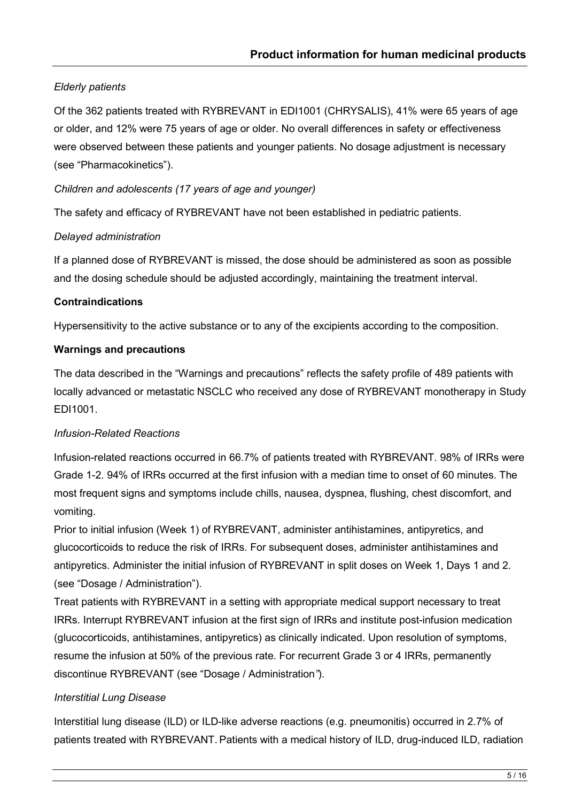# *Elderly patients*

Of the 362 patients treated with RYBREVANT in EDI1001 (CHRYSALIS), 41% were 65 years of age or older, and 12% were 75 years of age or older. No overall differences in safety or effectiveness were observed between these patients and younger patients. No dosage adjustment is necessary (see "Pharmacokinetics").

#### *Children and adolescents (17 years of age and younger)*

The safety and efficacy of RYBREVANT have not been established in pediatric patients.

#### *Delayed administration*

If a planned dose of RYBREVANT is missed, the dose should be administered as soon as possible and the dosing schedule should be adjusted accordingly, maintaining the treatment interval.

#### **Contraindications**

Hypersensitivity to the active substance or to any of the excipients according to the composition.

#### **Warnings and precautions**

The data described in the "Warnings and precautions" reflects the safety profile of 489 patients with locally advanced or metastatic NSCLC who received any dose of RYBREVANT monotherapy in Study EDI1001.

#### *Infusion-Related Reactions*

Infusion-related reactions occurred in 66.7% of patients treated with RYBREVANT. 98% of IRRs were Grade 1-2. 94% of IRRs occurred at the first infusion with a median time to onset of 60 minutes. The most frequent signs and symptoms include chills, nausea, dyspnea, flushing, chest discomfort, and vomiting.

Prior to initial infusion (Week 1) of RYBREVANT, administer antihistamines, antipyretics, and glucocorticoids to reduce the risk of IRRs. For subsequent doses, administer antihistamines and antipyretics. Administer the initial infusion of RYBREVANT in split doses on Week 1, Days 1 and 2. (see "Dosage / Administration").

Treat patients with RYBREVANT in a setting with appropriate medical support necessary to treat IRRs. Interrupt RYBREVANT infusion at the first sign of IRRs and institute post-infusion medication (glucocorticoids, antihistamines, antipyretics) as clinically indicated. Upon resolution of symptoms, resume the infusion at 50% of the previous rate. For recurrent Grade 3 or 4 IRRs, permanently discontinue RYBREVANT (see "Dosage / Administration*"*).

# *Interstitial Lung Disease*

Interstitial lung disease (ILD) or ILD-like adverse reactions (e.g. pneumonitis) occurred in 2.7% of patients treated with RYBREVANT. Patients with a medical history of ILD, drug-induced ILD, radiation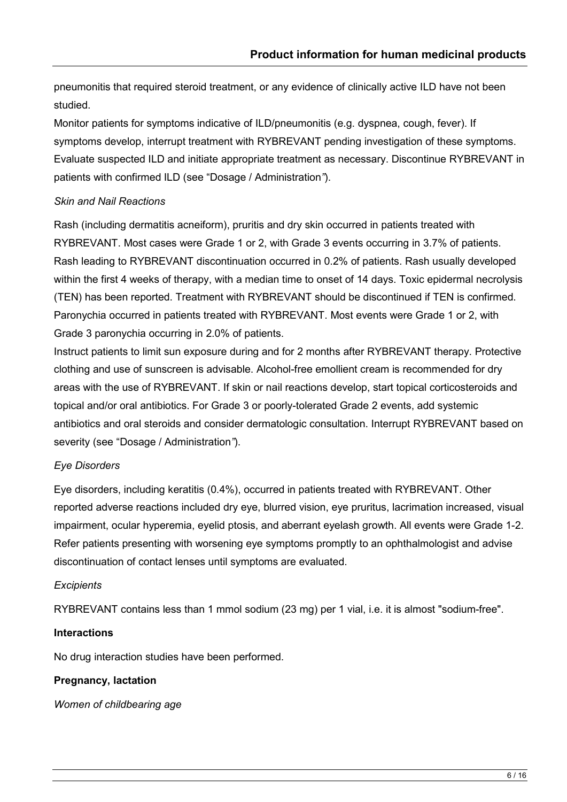pneumonitis that required steroid treatment, or any evidence of clinically active ILD have not been studied.

Monitor patients for symptoms indicative of ILD/pneumonitis (e.g. dyspnea, cough, fever). If symptoms develop, interrupt treatment with RYBREVANT pending investigation of these symptoms. Evaluate suspected ILD and initiate appropriate treatment as necessary. Discontinue RYBREVANT in patients with confirmed ILD (see "Dosage / Administration*"*).

#### *Skin and Nail Reactions*

Rash (including dermatitis acneiform), pruritis and dry skin occurred in patients treated with RYBREVANT. Most cases were Grade 1 or 2, with Grade 3 events occurring in 3.7% of patients. Rash leading to RYBREVANT discontinuation occurred in 0.2% of patients. Rash usually developed within the first 4 weeks of therapy, with a median time to onset of 14 days. Toxic epidermal necrolysis (TEN) has been reported. Treatment with RYBREVANT should be discontinued if TEN is confirmed. Paronychia occurred in patients treated with RYBREVANT. Most events were Grade 1 or 2, with Grade 3 paronychia occurring in 2.0% of patients.

Instruct patients to limit sun exposure during and for 2 months after RYBREVANT therapy. Protective clothing and use of sunscreen is advisable. Alcohol-free emollient cream is recommended for dry areas with the use of RYBREVANT. If skin or nail reactions develop, start topical corticosteroids and topical and/or oral antibiotics. For Grade 3 or poorly-tolerated Grade 2 events, add systemic antibiotics and oral steroids and consider dermatologic consultation. Interrupt RYBREVANT based on severity (see "Dosage / Administration*"*).

# *Eye Disorders*

Eye disorders, including keratitis (0.4%), occurred in patients treated with RYBREVANT. Other reported adverse reactions included dry eye, blurred vision, eye pruritus, lacrimation increased, visual impairment, ocular hyperemia, eyelid ptosis, and aberrant eyelash growth. All events were Grade 1-2. Refer patients presenting with worsening eye symptoms promptly to an ophthalmologist and advise discontinuation of contact lenses until symptoms are evaluated.

# *Excipients*

RYBREVANT contains less than 1 mmol sodium (23 mg) per 1 vial, i.e. it is almost "sodium-free".

# **Interactions**

No drug interaction studies have been performed.

#### **Pregnancy, lactation**

*Women of childbearing age*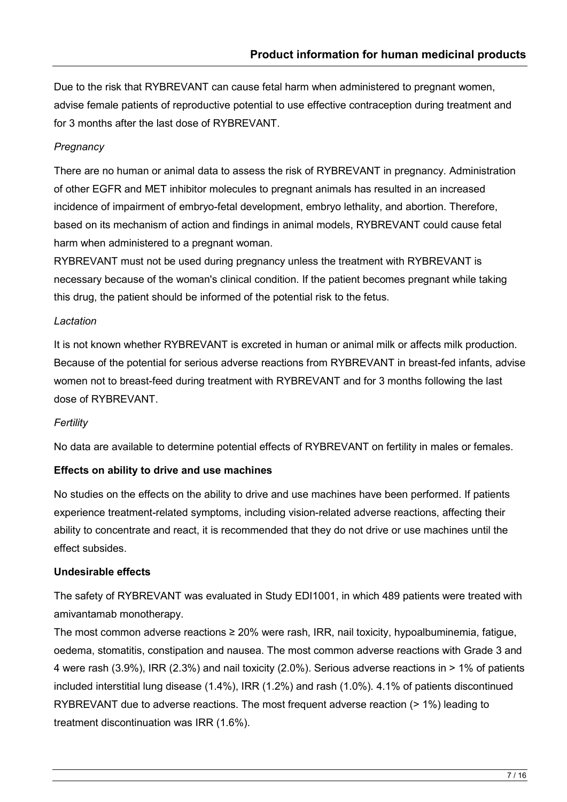Due to the risk that RYBREVANT can cause fetal harm when administered to pregnant women, advise female patients of reproductive potential to use effective contraception during treatment and for 3 months after the last dose of RYBREVANT.

## *Pregnancy*

There are no human or animal data to assess the risk of RYBREVANT in pregnancy. Administration of other EGFR and MET inhibitor molecules to pregnant animals has resulted in an increased incidence of impairment of embryo-fetal development, embryo lethality, and abortion. Therefore, based on its mechanism of action and findings in animal models, RYBREVANT could cause fetal harm when administered to a pregnant woman.

RYBREVANT must not be used during pregnancy unless the treatment with RYBREVANT is necessary because of the woman's clinical condition. If the patient becomes pregnant while taking this drug, the patient should be informed of the potential risk to the fetus.

#### *Lactation*

It is not known whether RYBREVANT is excreted in human or animal milk or affects milk production. Because of the potential for serious adverse reactions from RYBREVANT in breast-fed infants, advise women not to breast-feed during treatment with RYBREVANT and for 3 months following the last dose of RYBREVANT.

#### *Fertility*

No data are available to determine potential effects of RYBREVANT on fertility in males or females.

# **Effects on ability to drive and use machines**

No studies on the effects on the ability to drive and use machines have been performed. If patients experience treatment-related symptoms, including vision-related adverse reactions, affecting their ability to concentrate and react, it is recommended that they do not drive or use machines until the effect subsides.

#### **Undesirable effects**

The safety of RYBREVANT was evaluated in Study EDI1001, in which 489 patients were treated with amivantamab monotherapy.

The most common adverse reactions ≥ 20% were rash, IRR, nail toxicity, hypoalbuminemia, fatigue, oedema, stomatitis, constipation and nausea. The most common adverse reactions with Grade 3 and 4 were rash (3.9%), IRR (2.3%) and nail toxicity (2.0%). Serious adverse reactions in > 1% of patients included interstitial lung disease (1.4%), IRR (1.2%) and rash (1.0%). 4.1% of patients discontinued RYBREVANT due to adverse reactions. The most frequent adverse reaction (> 1%) leading to treatment discontinuation was IRR (1.6%).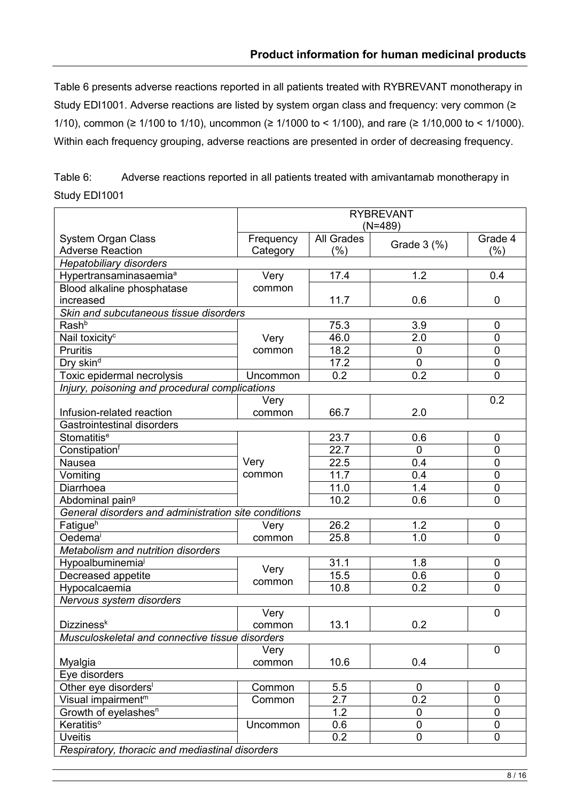Table 6 presents adverse reactions reported in all patients treated with RYBREVANT monotherapy in Study EDI1001. Adverse reactions are listed by system organ class and frequency: very common (≥ 1/10), common (≥ 1/100 to 1/10), uncommon (≥ 1/1000 to < 1/100), and rare (≥ 1/10,000 to < 1/1000). Within each frequency grouping, adverse reactions are presented in order of decreasing frequency.

Table 6: Adverse reactions reported in all patients treated with amivantamab monotherapy in Study EDI1001

|                                                      | <b>RYBREVANT</b>                                |                   |                |                |  |  |
|------------------------------------------------------|-------------------------------------------------|-------------------|----------------|----------------|--|--|
|                                                      | $(N=489)$                                       |                   |                |                |  |  |
| <b>System Organ Class</b>                            | Frequency                                       | <b>All Grades</b> | Grade 3 (%)    | Grade 4        |  |  |
| <b>Adverse Reaction</b>                              | Category                                        | (%)               |                | (%)            |  |  |
| <b>Hepatobiliary disorders</b>                       |                                                 |                   |                |                |  |  |
| Hypertransaminasaemia <sup>a</sup>                   | Very                                            | 17.4              | 1.2            | 0.4            |  |  |
| Blood alkaline phosphatase                           | common                                          |                   |                |                |  |  |
| increased                                            |                                                 | 11.7              | 0.6            | 0              |  |  |
| Skin and subcutaneous tissue disorders               |                                                 |                   |                |                |  |  |
| Rash <sup>b</sup>                                    |                                                 | 75.3              | 3.9            | 0              |  |  |
| Nail toxicity <sup>c</sup>                           | Very                                            | 46.0              | 2.0            | 0              |  |  |
| <b>Pruritis</b>                                      | common                                          | 18.2              | $\mathbf 0$    | $\mathbf 0$    |  |  |
| Dry skin <sup>d</sup>                                |                                                 | 17.2              | $\mathbf 0$    | $\mathbf 0$    |  |  |
| Toxic epidermal necrolysis                           | Uncommon                                        | 0.2               | 0.2            | $\overline{0}$ |  |  |
| Injury, poisoning and procedural complications       |                                                 |                   |                |                |  |  |
|                                                      | Very                                            |                   |                | 0.2            |  |  |
| Infusion-related reaction                            | common                                          | 66.7              | 2.0            |                |  |  |
| <b>Gastrointestinal disorders</b>                    |                                                 |                   |                |                |  |  |
| Stomatitis <sup>e</sup>                              |                                                 | 23.7              | 0.6            | 0              |  |  |
| Constipationf                                        |                                                 | 22.7              | $\overline{0}$ | 0              |  |  |
| Nausea                                               | Very                                            | 22.5              | 0.4            | $\mathbf 0$    |  |  |
| Vomiting                                             | common                                          | 11.7              | 0.4            | $\mathbf 0$    |  |  |
| Diarrhoea                                            |                                                 | 11.0              | 1.4            | $\mathbf 0$    |  |  |
| Abdominal pain <sup>9</sup>                          |                                                 | 10.2              | 0.6            | $\mathbf 0$    |  |  |
| General disorders and administration site conditions |                                                 |                   |                |                |  |  |
| Fatigue <sup>h</sup>                                 | Very                                            | 26.2              | 1.2            | 0              |  |  |
| Oedemai                                              | common                                          | 25.8              | 1.0            | 0              |  |  |
| Metabolism and nutrition disorders                   |                                                 |                   |                |                |  |  |
| Hypoalbuminemia <sup>j</sup>                         | Very                                            | 31.1              | 1.8            | 0              |  |  |
| Decreased appetite                                   | common                                          | 15.5              | 0.6            | $\mathbf 0$    |  |  |
| Hypocalcaemia                                        |                                                 | 10.8              | 0.2            | 0              |  |  |
| Nervous system disorders                             |                                                 |                   |                |                |  |  |
|                                                      | Very                                            |                   |                | $\mathbf 0$    |  |  |
| Dizziness <sup>k</sup>                               | common                                          | 13.1              | 0.2            |                |  |  |
| Musculoskeletal and connective tissue disorders      |                                                 |                   |                |                |  |  |
|                                                      | Very                                            |                   |                | $\mathbf 0$    |  |  |
| Myalgia                                              | common                                          | 10.6              | 0.4            |                |  |  |
| Eye disorders                                        |                                                 |                   |                |                |  |  |
| Other eye disorders <sup>1</sup>                     | Common                                          | 5.5               | $\mathbf 0$    | 0              |  |  |
| Visual impairment <sup>m</sup>                       | Common                                          | 2.7               | 0.2            | 0              |  |  |
| Growth of eyelashes <sup>n</sup>                     |                                                 | 1.2               | 0              | 0              |  |  |
| Keratitis <sup>o</sup>                               | Uncommon                                        | 0.6               | $\overline{0}$ | 0              |  |  |
| <b>Uveitis</b>                                       |                                                 | 0.2               | 0              | 0              |  |  |
|                                                      | Respiratory, thoracic and mediastinal disorders |                   |                |                |  |  |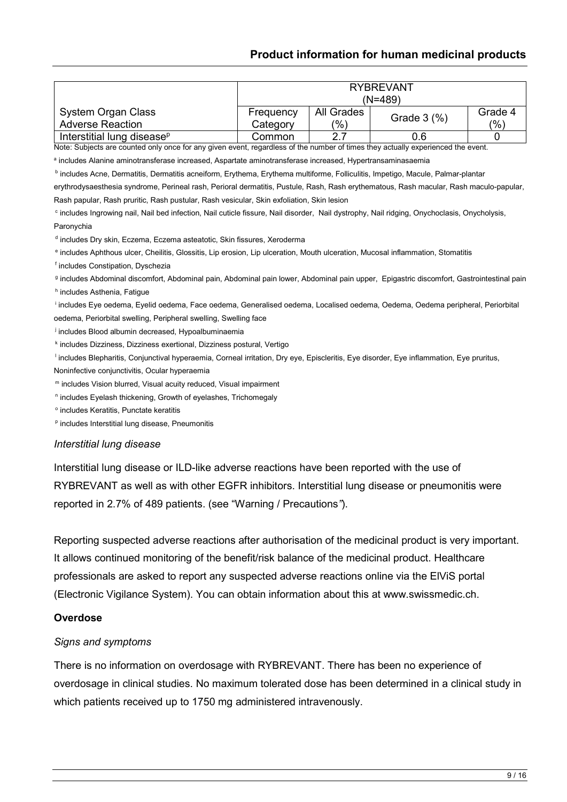#### **Product information for human medicinal products**

|                                                                                                                                                                            |           |                   | <b>RYBREVANT</b><br>$(N=489)$ |                |
|----------------------------------------------------------------------------------------------------------------------------------------------------------------------------|-----------|-------------------|-------------------------------|----------------|
| <b>System Organ Class</b><br><b>Adverse Reaction</b>                                                                                                                       | Frequency | <b>All Grades</b> | Grade 3 (%)                   | Grade 4<br>(%) |
|                                                                                                                                                                            | Category  | (%)<br>2.7        |                               |                |
| Interstitial lung disease <sup>p</sup><br>Note: Subjects are counted only once for any given event, regardless of the number of times they actually experienced the event. | Common    |                   | 0.6                           | 0              |
| a includes Alanine aminotransferase increased, Aspartate aminotransferase increased, Hypertransaminasaemia                                                                 |           |                   |                               |                |
| <sup>b</sup> includes Acne, Dermatitis, Dermatitis acneiform, Erythema, Erythema multiforme, Folliculitis, Impetigo, Macule, Palmar-plantar                                |           |                   |                               |                |
| erythrodysaesthesia syndrome, Perineal rash, Perioral dermatitis, Pustule, Rash, Rash erythematous, Rash macular, Rash maculo-papular,                                     |           |                   |                               |                |
| Rash papular, Rash pruritic, Rash pustular, Rash vesicular, Skin exfoliation, Skin lesion                                                                                  |           |                   |                               |                |
| <sup>c</sup> includes Ingrowing nail, Nail bed infection, Nail cuticle fissure, Nail disorder, Nail dystrophy, Nail ridging, Onychoclasis, Onycholysis,                    |           |                   |                               |                |
| Paronychia                                                                                                                                                                 |           |                   |                               |                |
| d includes Dry skin, Eczema, Eczema asteatotic, Skin fissures, Xeroderma                                                                                                   |           |                   |                               |                |
| <sup>e</sup> includes Aphthous ulcer, Cheilitis, Glossitis, Lip erosion, Lip ulceration, Mouth ulceration, Mucosal inflammation, Stomatitis                                |           |                   |                               |                |
| f includes Constipation, Dyschezia                                                                                                                                         |           |                   |                               |                |
| g includes Abdominal discomfort, Abdominal pain, Abdominal pain lower, Abdominal pain upper, Epigastric discomfort, Gastrointestinal pain                                  |           |                   |                               |                |
| <sup>h</sup> includes Asthenia, Fatique                                                                                                                                    |           |                   |                               |                |
| <sup>i</sup> includes Eye oedema, Eyelid oedema, Face oedema, Generalised oedema, Localised oedema, Oedema, Oedema peripheral, Periorbital                                 |           |                   |                               |                |
| oedema, Periorbital swelling, Peripheral swelling, Swelling face                                                                                                           |           |                   |                               |                |
| i includes Blood albumin decreased, Hypoalbuminaemia                                                                                                                       |           |                   |                               |                |
| <sup>k</sup> includes Dizziness, Dizziness exertional, Dizziness postural, Vertigo                                                                                         |           |                   |                               |                |
| Includes Blepharitis, Conjunctival hyperaemia, Corneal irritation, Dry eye, Episcleritis, Eye disorder, Eye inflammation, Eye pruritus,                                    |           |                   |                               |                |
| Noninfective conjunctivitis, Ocular hyperaemia                                                                                                                             |           |                   |                               |                |
| m includes Vision blurred, Visual acuity reduced, Visual impairment                                                                                                        |           |                   |                               |                |
| <sup>n</sup> includes Eyelash thickening, Growth of eyelashes, Trichomegaly                                                                                                |           |                   |                               |                |
| ° includes Keratitis, Punctate keratitis                                                                                                                                   |           |                   |                               |                |
| P includes Interstitial lung disease, Pneumonitis                                                                                                                          |           |                   |                               |                |
| Interstitial lung disease                                                                                                                                                  |           |                   |                               |                |
| Interstitial lung disease or ILD-like adverse reactions have been reported with the use of                                                                                 |           |                   |                               |                |
| DVRDE\/ANIT as woll as with other ECED inhibitors, Interstitial lung disease or proumanitis were                                                                           |           |                   |                               |                |

RYBREVANT as well as with other EGFR inhibitors. Interstitial lung disease or pneumonitis were reported in 2.7% of 489 patients. (see "Warning / Precautions*"*).

Reporting suspected adverse reactions after authorisation of the medicinal product is very important. It allows continued monitoring of the benefit/risk balance of the medicinal product. Healthcare professionals are asked to report any suspected adverse reactions online via the ElViS portal (Electronic Vigilance System). You can obtain information about this at www.swissmedic.ch.

#### **Overdose**

#### *Signs and symptoms*

There is no information on overdosage with RYBREVANT. There has been no experience of overdosage in clinical studies. No maximum tolerated dose has been determined in a clinical study in which patients received up to 1750 mg administered intravenously.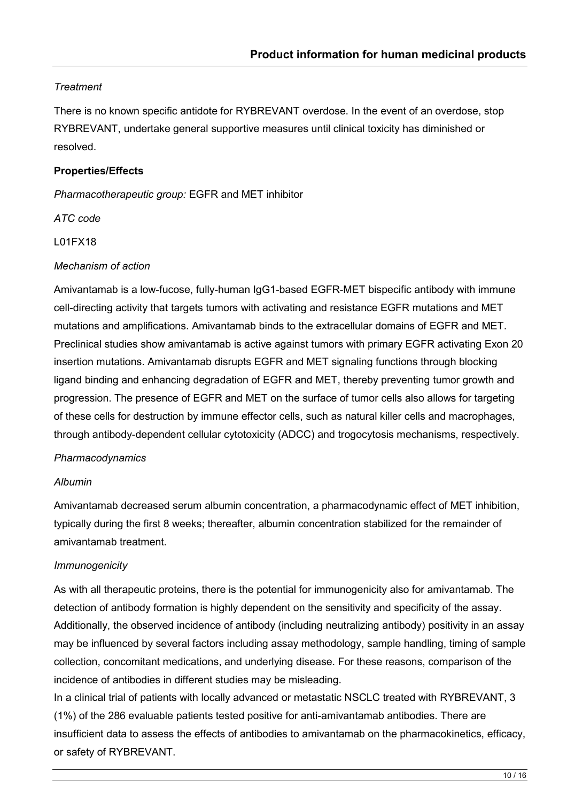## *Treatment*

There is no known specific antidote for RYBREVANT overdose. In the event of an overdose, stop RYBREVANT, undertake general supportive measures until clinical toxicity has diminished or resolved.

#### **Properties/Effects**

*Pharmacotherapeutic group:* EGFR and MET inhibitor

*ATC code*

L01FX18

#### *Mechanism of action*

Amivantamab is a low-fucose, fully-human IgG1-based EGFR-MET bispecific antibody with immune cell-directing activity that targets tumors with activating and resistance EGFR mutations and MET mutations and amplifications. Amivantamab binds to the extracellular domains of EGFR and MET. Preclinical studies show amivantamab is active against tumors with primary EGFR activating Exon 20 insertion mutations. Amivantamab disrupts EGFR and MET signaling functions through blocking ligand binding and enhancing degradation of EGFR and MET, thereby preventing tumor growth and progression. The presence of EGFR and MET on the surface of tumor cells also allows for targeting of these cells for destruction by immune effector cells, such as natural killer cells and macrophages, through antibody-dependent cellular cytotoxicity (ADCC) and trogocytosis mechanisms, respectively.

#### *Pharmacodynamics*

#### *Albumin*

Amivantamab decreased serum albumin concentration, a pharmacodynamic effect of MET inhibition, typically during the first 8 weeks; thereafter, albumin concentration stabilized for the remainder of amivantamab treatment.

#### *Immunogenicity*

As with all therapeutic proteins, there is the potential for immunogenicity also for amivantamab. The detection of antibody formation is highly dependent on the sensitivity and specificity of the assay. Additionally, the observed incidence of antibody (including neutralizing antibody) positivity in an assay may be influenced by several factors including assay methodology, sample handling, timing of sample collection, concomitant medications, and underlying disease. For these reasons, comparison of the incidence of antibodies in different studies may be misleading.

In a clinical trial of patients with locally advanced or metastatic NSCLC treated with RYBREVANT, 3 (1%) of the 286 evaluable patients tested positive for anti-amivantamab antibodies. There are insufficient data to assess the effects of antibodies to amivantamab on the pharmacokinetics, efficacy, or safety of RYBREVANT.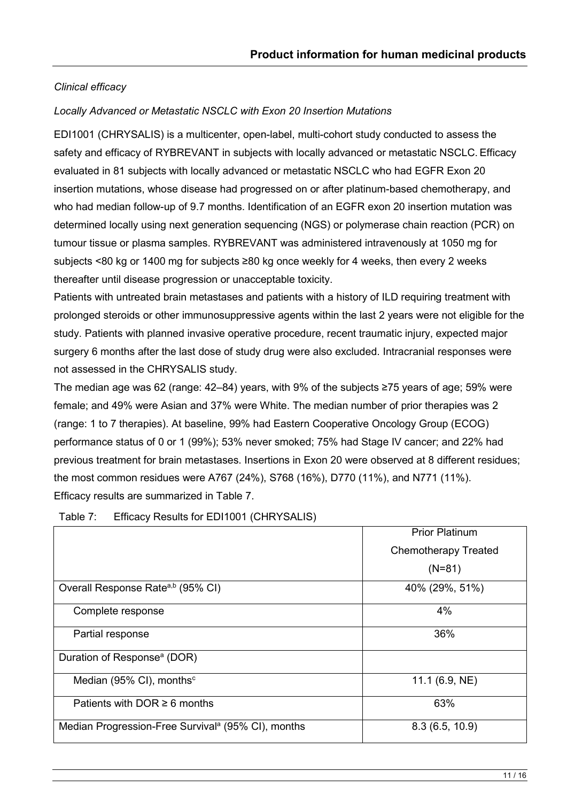# *Clinical efficacy*

## *Locally Advanced or Metastatic NSCLC with Exon 20 Insertion Mutations*

EDI1001 (CHRYSALIS) is a multicenter, open-label, multi-cohort study conducted to assess the safety and efficacy of RYBREVANT in subjects with locally advanced or metastatic NSCLC. Efficacy evaluated in 81 subjects with locally advanced or metastatic NSCLC who had EGFR Exon 20 insertion mutations, whose disease had progressed on or after platinum-based chemotherapy, and who had median follow-up of 9.7 months. Identification of an EGFR exon 20 insertion mutation was determined locally using next generation sequencing (NGS) or polymerase chain reaction (PCR) on tumour tissue or plasma samples. RYBREVANT was administered intravenously at 1050 mg for subjects <80 kg or 1400 mg for subjects ≥80 kg once weekly for 4 weeks, then every 2 weeks thereafter until disease progression or unacceptable toxicity.

Patients with untreated brain metastases and patients with a history of ILD requiring treatment with prolonged steroids or other immunosuppressive agents within the last 2 years were not eligible for the study. Patients with planned invasive operative procedure, recent traumatic injury, expected major surgery 6 months after the last dose of study drug were also excluded. Intracranial responses were not assessed in the CHRYSALIS study.

The median age was 62 (range: 42–84) years, with 9% of the subjects ≥75 years of age; 59% were female; and 49% were Asian and 37% were White. The median number of prior therapies was 2 (range: 1 to 7 therapies). At baseline, 99% had Eastern Cooperative Oncology Group (ECOG) performance status of 0 or 1 (99%); 53% never smoked; 75% had Stage IV cancer; and 22% had previous treatment for brain metastases. Insertions in Exon 20 were observed at 8 different residues; the most common residues were A767 (24%), S768 (16%), D770 (11%), and N771 (11%). Efficacy results are summarized in Table 7.

|                                                                | <b>Prior Platinum</b>       |
|----------------------------------------------------------------|-----------------------------|
|                                                                | <b>Chemotherapy Treated</b> |
|                                                                | $(N=81)$                    |
| Overall Response Rate <sup>a,b</sup> (95% CI)                  | 40% (29%, 51%)              |
| Complete response                                              | 4%                          |
| Partial response                                               | 36%                         |
| Duration of Response <sup>a</sup> (DOR)                        |                             |
| Median (95% CI), months <sup>c</sup>                           | 11.1 $(6.9, NE)$            |
| Patients with DOR $\geq 6$ months                              | 63%                         |
| Median Progression-Free Survival <sup>a</sup> (95% CI), months | 8.3(6.5, 10.9)              |

Table 7: Efficacy Results for EDI1001 (CHRYSALIS)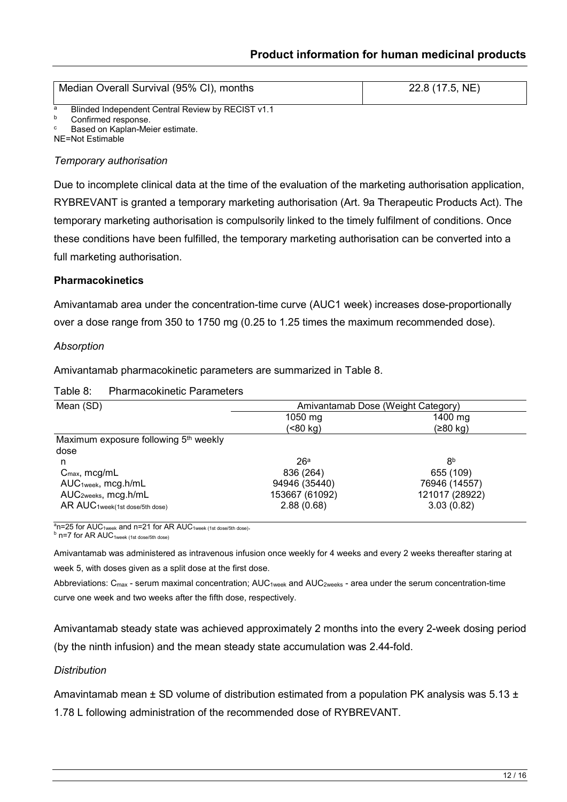|   | Median Overall Survival (95% CI), months          | 22.8 (17.5, NE) |
|---|---------------------------------------------------|-----------------|
| a | Blinded Independent Central Review by RECIST v1.1 |                 |
| b | Confirmed response.                               |                 |
| C | Based on Kaplan-Meier estimate.                   |                 |

NE=Not Estimable

#### *Temporary authorisation*

Due to incomplete clinical data at the time of the evaluation of the marketing authorisation application, RYBREVANT is granted a temporary marketing authorisation (Art. 9a Therapeutic Products Act). The temporary marketing authorisation is compulsorily linked to the timely fulfilment of conditions. Once these conditions have been fulfilled, the temporary marketing authorisation can be converted into a full marketing authorisation.

#### **Pharmacokinetics**

Amivantamab area under the concentration-time curve (AUC1 week) increases dose-proportionally over a dose range from 350 to 1750 mg (0.25 to 1.25 times the maximum recommended dose).

#### *Absorption*

Amivantamab pharmacokinetic parameters are summarized in Table 8.

#### Table 8: Pharmacokinetic Parameters

| Mean (SD)                                         | Amivantamab Dose (Weight Category) |                |
|---------------------------------------------------|------------------------------------|----------------|
|                                                   | 1050 mg                            | 1400 mg        |
|                                                   | (<80 kg)                           | (≥80 kg)       |
| Maximum exposure following 5 <sup>th</sup> weekly |                                    |                |
| dose                                              |                                    |                |
| n                                                 | 26a                                | 8 <sup>b</sup> |
| $C_{\text{max}}$ , mcg/mL                         | 836 (264)                          | 655 (109)      |
| AUC <sub>1week</sub> , mcg.h/mL                   | 94946 (35440)                      | 76946 (14557)  |
| AUC <sub>2weeks</sub> , mcg.h/mL                  | 153667 (61092)                     | 121017 (28922) |
| AR AUC1week(1st dose/5th dose)                    | 2.88(0.68)                         | 3.03(0.82)     |

 $a$ n=25 for AUC<sub>1week</sub> and n=21 for AR AUC<sub>1week (1st dose/5th dose).</sub>

 $b$  n=7 for AR AUC<sub>1week</sub> (1st dose/5th dose)

Amivantamab was administered as intravenous infusion once weekly for 4 weeks and every 2 weeks thereafter staring at week 5, with doses given as a split dose at the first dose.

Abbreviations: C<sub>max</sub> - serum maximal concentration; AUC<sub>1week</sub> and AUC<sub>2weeks</sub> - area under the serum concentration-time curve one week and two weeks after the fifth dose, respectively.

Amivantamab steady state was achieved approximately 2 months into the every 2-week dosing period (by the ninth infusion) and the mean steady state accumulation was 2.44-fold.

#### *Distribution*

Amavintamab mean  $\pm$  SD volume of distribution estimated from a population PK analysis was 5.13  $\pm$ 

1.78 L following administration of the recommended dose of RYBREVANT.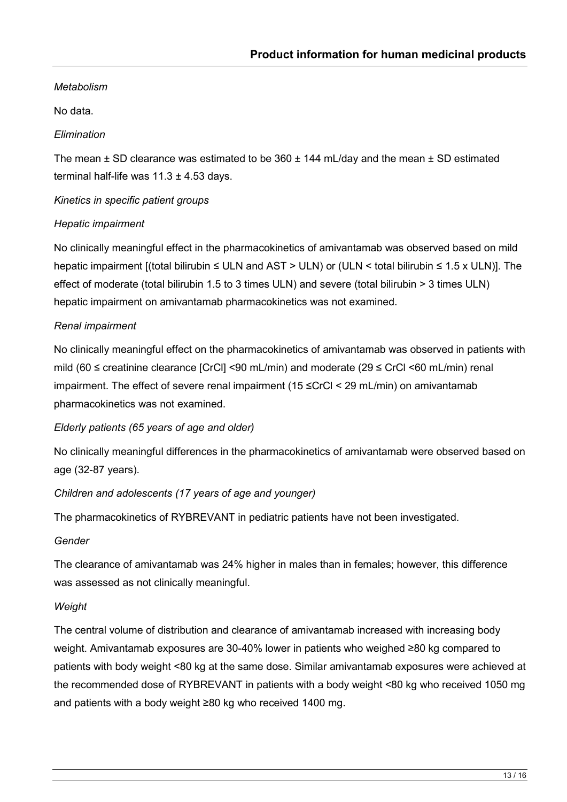# *Metabolism*

No data.

## *Elimination*

The mean  $\pm$  SD clearance was estimated to be 360  $\pm$  144 mL/day and the mean  $\pm$  SD estimated terminal half-life was  $11.3 \pm 4.53$  days.

*Kinetics in specific patient groups*

#### *Hepatic impairment*

No clinically meaningful effect in the pharmacokinetics of amivantamab was observed based on mild hepatic impairment [(total bilirubin ≤ ULN and AST > ULN) or (ULN < total bilirubin ≤ 1.5 x ULN)]. The effect of moderate (total bilirubin 1.5 to 3 times ULN) and severe (total bilirubin > 3 times ULN) hepatic impairment on amivantamab pharmacokinetics was not examined.

#### *Renal impairment*

No clinically meaningful effect on the pharmacokinetics of amivantamab was observed in patients with mild (60 ≤ creatinine clearance [CrCl] <90 mL/min) and moderate (29 ≤ CrCl <60 mL/min) renal impairment. The effect of severe renal impairment (15 ≤CrCl < 29 mL/min) on amivantamab pharmacokinetics was not examined.

# *Elderly patients (65 years of age and older)*

No clinically meaningful differences in the pharmacokinetics of amivantamab were observed based on age (32-87 years).

# *Children and adolescents (17 years of age and younger)*

The pharmacokinetics of RYBREVANT in pediatric patients have not been investigated.

#### *Gender*

The clearance of amivantamab was 24% higher in males than in females; however, this difference was assessed as not clinically meaningful.

#### *Weight*

The central volume of distribution and clearance of amivantamab increased with increasing body weight. Amivantamab exposures are 30-40% lower in patients who weighed ≥80 kg compared to patients with body weight <80 kg at the same dose. Similar amivantamab exposures were achieved at the recommended dose of RYBREVANT in patients with a body weight <80 kg who received 1050 mg and patients with a body weight ≥80 kg who received 1400 mg.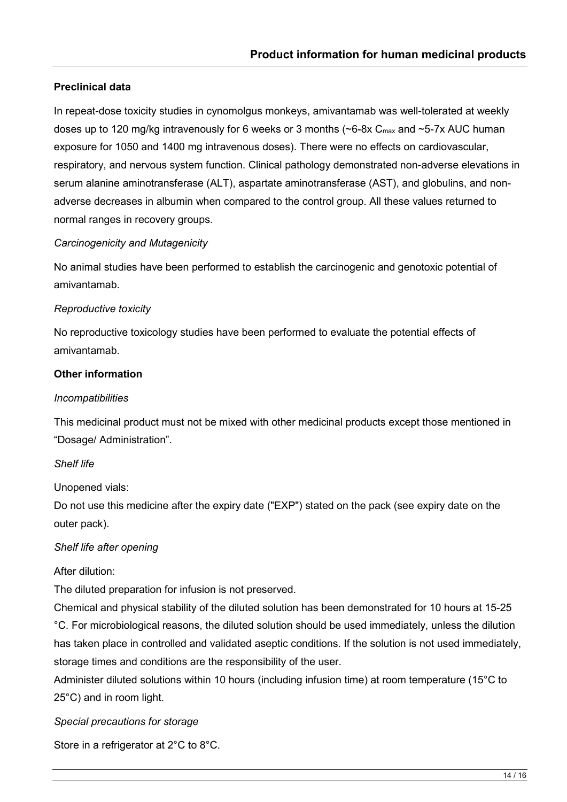#### **Preclinical data**

In repeat-dose toxicity studies in cynomolgus monkeys, amivantamab was well-tolerated at weekly doses up to 120 mg/kg intravenously for 6 weeks or 3 months ( $\sim$ 6-8x C<sub>max</sub> and  $\sim$ 5-7x AUC human exposure for 1050 and 1400 mg intravenous doses). There were no effects on cardiovascular, respiratory, and nervous system function. Clinical pathology demonstrated non-adverse elevations in serum alanine aminotransferase (ALT), aspartate aminotransferase (AST), and globulins, and nonadverse decreases in albumin when compared to the control group. All these values returned to normal ranges in recovery groups.

#### *Carcinogenicity and Mutagenicity*

No animal studies have been performed to establish the carcinogenic and genotoxic potential of amivantamab.

#### *Reproductive toxicity*

No reproductive toxicology studies have been performed to evaluate the potential effects of amivantamab.

#### **Other information**

#### *Incompatibilities*

This medicinal product must not be mixed with other medicinal products except those mentioned in "Dosage/ Administration".

#### *Shelf life*

Unopened vials:

Do not use this medicine after the expiry date ("EXP") stated on the pack (see expiry date on the outer pack).

#### *Shelf life after opening*

After dilution:

The diluted preparation for infusion is not preserved.

Chemical and physical stability of the diluted solution has been demonstrated for 10 hours at 15-25 °C. For microbiological reasons, the diluted solution should be used immediately, unless the dilution has taken place in controlled and validated aseptic conditions. If the solution is not used immediately, storage times and conditions are the responsibility of the user.

Administer diluted solutions within 10 hours (including infusion time) at room temperature (15°C to 25°C) and in room light.

*Special precautions for storage*

Store in a refrigerator at 2°C to 8°C.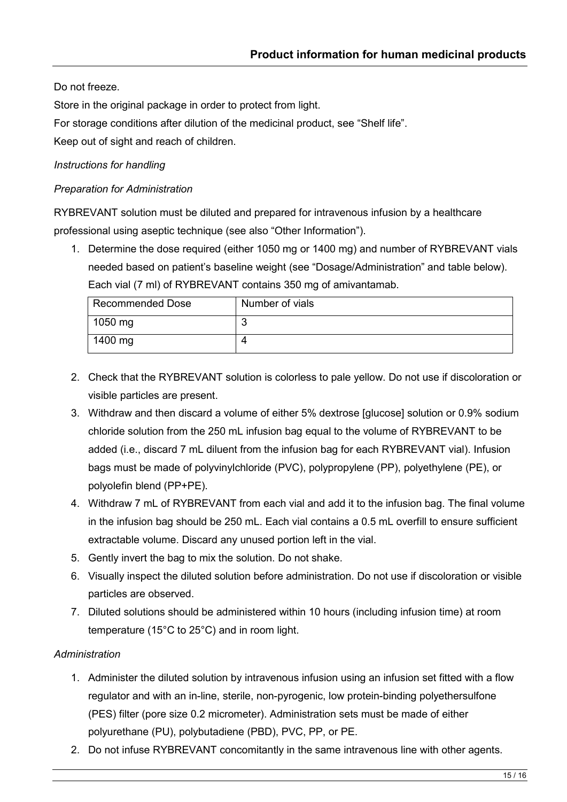Do not freeze.

Store in the original package in order to protect from light.

For storage conditions after dilution of the medicinal product, see "Shelf life".

Keep out of sight and reach of children.

#### *Instructions for handling*

#### *Preparation for Administration*

RYBREVANT solution must be diluted and prepared for intravenous infusion by a healthcare professional using aseptic technique (see also "Other Information").

1. Determine the dose required (either 1050 mg or 1400 mg) and number of RYBREVANT vials needed based on patient's baseline weight (see "Dosage/Administration" and table below). Each vial (7 ml) of RYBREVANT contains 350 mg of amivantamab.

| Recommended Dose | Number of vials |
|------------------|-----------------|
| 1050 mg          |                 |
| 1400 mg          |                 |

- 2. Check that the RYBREVANT solution is colorless to pale yellow. Do not use if discoloration or visible particles are present.
- 3. Withdraw and then discard a volume of either 5% dextrose [glucose] solution or 0.9% sodium chloride solution from the 250 mL infusion bag equal to the volume of RYBREVANT to be added (i.e., discard 7 mL diluent from the infusion bag for each RYBREVANT vial). Infusion bags must be made of polyvinylchloride (PVC), polypropylene (PP), polyethylene (PE), or polyolefin blend (PP+PE).
- 4. Withdraw 7 mL of RYBREVANT from each vial and add it to the infusion bag. The final volume in the infusion bag should be 250 mL. Each vial contains a 0.5 mL overfill to ensure sufficient extractable volume. Discard any unused portion left in the vial.
- 5. Gently invert the bag to mix the solution. Do not shake.
- 6. Visually inspect the diluted solution before administration. Do not use if discoloration or visible particles are observed.
- 7. Diluted solutions should be administered within 10 hours (including infusion time) at room temperature (15°C to 25°C) and in room light.

#### *Administration*

- 1. Administer the diluted solution by intravenous infusion using an infusion set fitted with a flow regulator and with an in-line, sterile, non-pyrogenic, low protein-binding polyethersulfone (PES) filter (pore size 0.2 micrometer). Administration sets must be made of either polyurethane (PU), polybutadiene (PBD), PVC, PP, or PE.
- 2. Do not infuse RYBREVANT concomitantly in the same intravenous line with other agents.